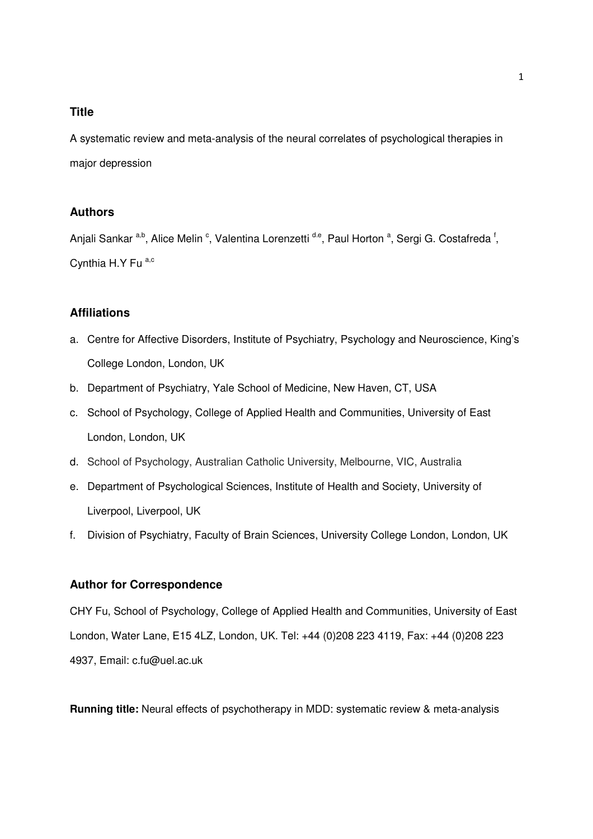#### **Title**

A systematic review and meta-analysis of the neural correlates of psychological therapies in major depression

# **Authors**

Anjali Sankar <sup>a,b</sup>, Alice Melin <sup>c</sup>, Valentina Lorenzetti <sup>d.e</sup>, Paul Horton <sup>a</sup>, Sergi G. Costafreda <sup>f</sup>, Cynthia H.Y Fu a,c

# **Affiliations**

- a. Centre for Affective Disorders, Institute of Psychiatry, Psychology and Neuroscience, King's College London, London, UK
- b. Department of Psychiatry, Yale School of Medicine, New Haven, CT, USA
- c. School of Psychology, College of Applied Health and Communities, University of East London, London, UK
- d. School of Psychology, Australian Catholic University, Melbourne, VIC, Australia
- e. Department of Psychological Sciences, Institute of Health and Society, University of Liverpool, Liverpool, UK
- f. Division of Psychiatry, Faculty of Brain Sciences, University College London, London, UK

#### **Author for Correspondence**

CHY Fu, School of Psychology, College of Applied Health and Communities, University of East London, Water Lane, E15 4LZ, London, UK. Tel: +44 (0)208 223 4119, Fax: +44 (0)208 223 4937, Email: c.fu@uel.ac.uk

**Running title:** Neural effects of psychotherapy in MDD: systematic review & meta-analysis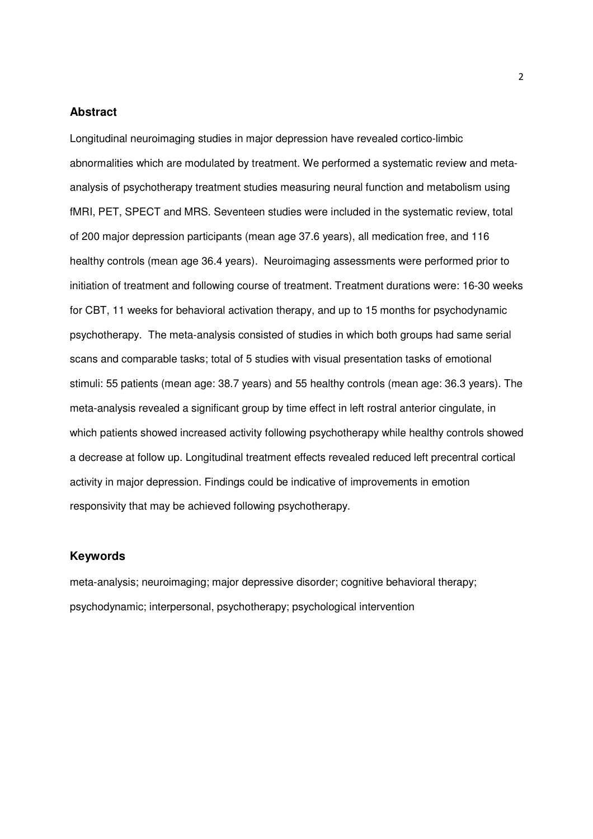#### **Abstract**

Longitudinal neuroimaging studies in major depression have revealed cortico-limbic abnormalities which are modulated by treatment. We performed a systematic review and metaanalysis of psychotherapy treatment studies measuring neural function and metabolism using fMRI, PET, SPECT and MRS. Seventeen studies were included in the systematic review, total of 200 major depression participants (mean age 37.6 years), all medication free, and 116 healthy controls (mean age 36.4 years). Neuroimaging assessments were performed prior to initiation of treatment and following course of treatment. Treatment durations were: 16-30 weeks for CBT, 11 weeks for behavioral activation therapy, and up to 15 months for psychodynamic psychotherapy. The meta-analysis consisted of studies in which both groups had same serial scans and comparable tasks; total of 5 studies with visual presentation tasks of emotional stimuli: 55 patients (mean age: 38.7 years) and 55 healthy controls (mean age: 36.3 years). The meta-analysis revealed a significant group by time effect in left rostral anterior cingulate, in which patients showed increased activity following psychotherapy while healthy controls showed a decrease at follow up. Longitudinal treatment effects revealed reduced left precentral cortical activity in major depression. Findings could be indicative of improvements in emotion responsivity that may be achieved following psychotherapy.

#### **Keywords**

meta-analysis; neuroimaging; major depressive disorder; cognitive behavioral therapy; psychodynamic; interpersonal, psychotherapy; psychological intervention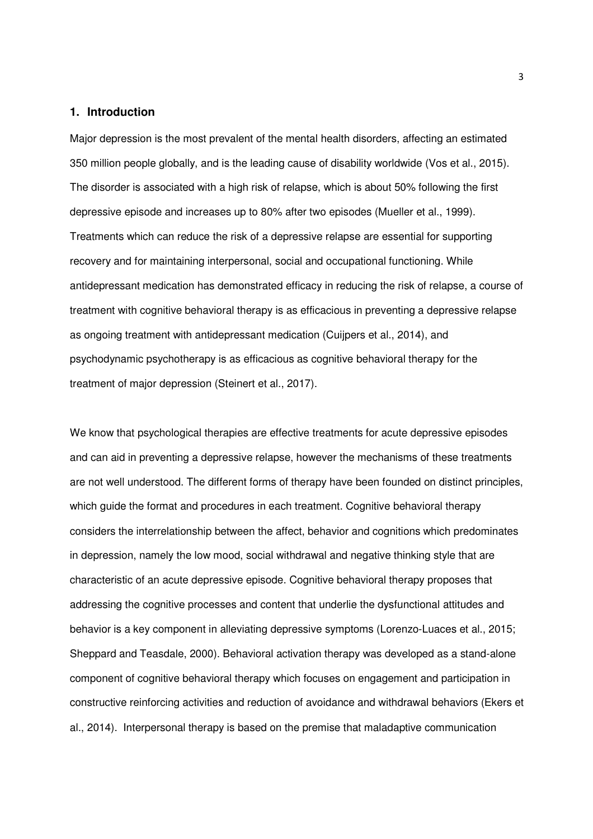#### **1. Introduction**

Major depression is the most prevalent of the mental health disorders, affecting an estimated 350 million people globally, and is the leading cause of disability worldwide (Vos et al., 2015). The disorder is associated with a high risk of relapse, which is about 50% following the first depressive episode and increases up to 80% after two episodes (Mueller et al., 1999). Treatments which can reduce the risk of a depressive relapse are essential for supporting recovery and for maintaining interpersonal, social and occupational functioning. While antidepressant medication has demonstrated efficacy in reducing the risk of relapse, a course of treatment with cognitive behavioral therapy is as efficacious in preventing a depressive relapse as ongoing treatment with antidepressant medication (Cuijpers et al., 2014), and psychodynamic psychotherapy is as efficacious as cognitive behavioral therapy for the treatment of major depression (Steinert et al., 2017).

We know that psychological therapies are effective treatments for acute depressive episodes and can aid in preventing a depressive relapse, however the mechanisms of these treatments are not well understood. The different forms of therapy have been founded on distinct principles, which guide the format and procedures in each treatment. Cognitive behavioral therapy considers the interrelationship between the affect, behavior and cognitions which predominates in depression, namely the low mood, social withdrawal and negative thinking style that are characteristic of an acute depressive episode. Cognitive behavioral therapy proposes that addressing the cognitive processes and content that underlie the dysfunctional attitudes and behavior is a key component in alleviating depressive symptoms (Lorenzo-Luaces et al., 2015; Sheppard and Teasdale, 2000). Behavioral activation therapy was developed as a stand-alone component of cognitive behavioral therapy which focuses on engagement and participation in constructive reinforcing activities and reduction of avoidance and withdrawal behaviors (Ekers et al., 2014). Interpersonal therapy is based on the premise that maladaptive communication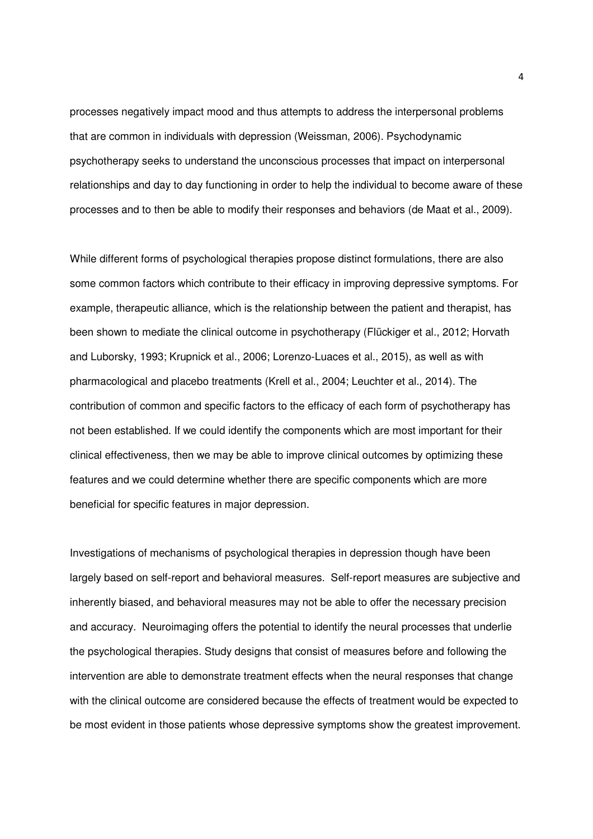processes negatively impact mood and thus attempts to address the interpersonal problems that are common in individuals with depression (Weissman, 2006). Psychodynamic psychotherapy seeks to understand the unconscious processes that impact on interpersonal relationships and day to day functioning in order to help the individual to become aware of these processes and to then be able to modify their responses and behaviors (de Maat et al., 2009).

While different forms of psychological therapies propose distinct formulations, there are also some common factors which contribute to their efficacy in improving depressive symptoms. For example, therapeutic alliance, which is the relationship between the patient and therapist, has been shown to mediate the clinical outcome in psychotherapy (Flückiger et al., 2012; Horvath and Luborsky, 1993; Krupnick et al., 2006; Lorenzo-Luaces et al., 2015), as well as with pharmacological and placebo treatments (Krell et al., 2004; Leuchter et al., 2014). The contribution of common and specific factors to the efficacy of each form of psychotherapy has not been established. If we could identify the components which are most important for their clinical effectiveness, then we may be able to improve clinical outcomes by optimizing these features and we could determine whether there are specific components which are more beneficial for specific features in major depression.

Investigations of mechanisms of psychological therapies in depression though have been largely based on self-report and behavioral measures. Self-report measures are subjective and inherently biased, and behavioral measures may not be able to offer the necessary precision and accuracy. Neuroimaging offers the potential to identify the neural processes that underlie the psychological therapies. Study designs that consist of measures before and following the intervention are able to demonstrate treatment effects when the neural responses that change with the clinical outcome are considered because the effects of treatment would be expected to be most evident in those patients whose depressive symptoms show the greatest improvement.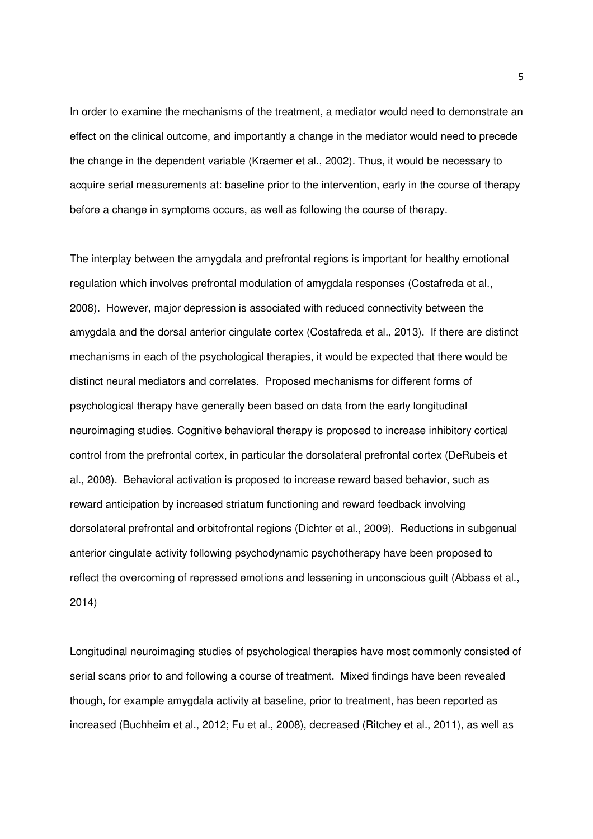In order to examine the mechanisms of the treatment, a mediator would need to demonstrate an effect on the clinical outcome, and importantly a change in the mediator would need to precede the change in the dependent variable (Kraemer et al., 2002). Thus, it would be necessary to acquire serial measurements at: baseline prior to the intervention, early in the course of therapy before a change in symptoms occurs, as well as following the course of therapy.

The interplay between the amygdala and prefrontal regions is important for healthy emotional regulation which involves prefrontal modulation of amygdala responses (Costafreda et al., 2008). However, major depression is associated with reduced connectivity between the amygdala and the dorsal anterior cingulate cortex (Costafreda et al., 2013). If there are distinct mechanisms in each of the psychological therapies, it would be expected that there would be distinct neural mediators and correlates. Proposed mechanisms for different forms of psychological therapy have generally been based on data from the early longitudinal neuroimaging studies. Cognitive behavioral therapy is proposed to increase inhibitory cortical control from the prefrontal cortex, in particular the dorsolateral prefrontal cortex (DeRubeis et al., 2008). Behavioral activation is proposed to increase reward based behavior, such as reward anticipation by increased striatum functioning and reward feedback involving dorsolateral prefrontal and orbitofrontal regions (Dichter et al., 2009). Reductions in subgenual anterior cingulate activity following psychodynamic psychotherapy have been proposed to reflect the overcoming of repressed emotions and lessening in unconscious guilt (Abbass et al., 2014)

Longitudinal neuroimaging studies of psychological therapies have most commonly consisted of serial scans prior to and following a course of treatment. Mixed findings have been revealed though, for example amygdala activity at baseline, prior to treatment, has been reported as increased (Buchheim et al., 2012; Fu et al., 2008), decreased (Ritchey et al., 2011), as well as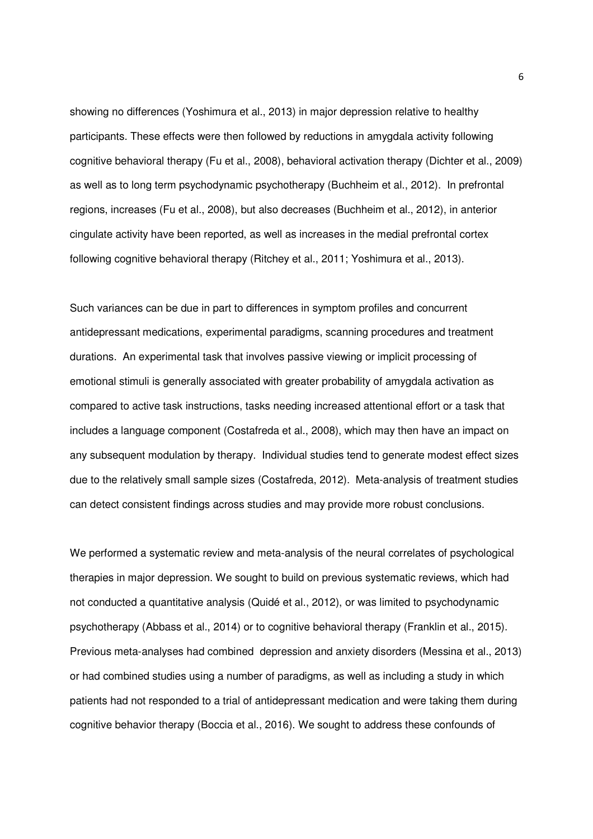showing no differences (Yoshimura et al., 2013) in major depression relative to healthy participants. These effects were then followed by reductions in amygdala activity following cognitive behavioral therapy (Fu et al., 2008), behavioral activation therapy (Dichter et al., 2009) as well as to long term psychodynamic psychotherapy (Buchheim et al., 2012). In prefrontal regions, increases (Fu et al., 2008), but also decreases (Buchheim et al., 2012), in anterior cingulate activity have been reported, as well as increases in the medial prefrontal cortex following cognitive behavioral therapy (Ritchey et al., 2011; Yoshimura et al., 2013).

Such variances can be due in part to differences in symptom profiles and concurrent antidepressant medications, experimental paradigms, scanning procedures and treatment durations. An experimental task that involves passive viewing or implicit processing of emotional stimuli is generally associated with greater probability of amygdala activation as compared to active task instructions, tasks needing increased attentional effort or a task that includes a language component (Costafreda et al., 2008), which may then have an impact on any subsequent modulation by therapy. Individual studies tend to generate modest effect sizes due to the relatively small sample sizes (Costafreda, 2012). Meta-analysis of treatment studies can detect consistent findings across studies and may provide more robust conclusions.

We performed a systematic review and meta-analysis of the neural correlates of psychological therapies in major depression. We sought to build on previous systematic reviews, which had not conducted a quantitative analysis (Quidé et al., 2012), or was limited to psychodynamic psychotherapy (Abbass et al., 2014) or to cognitive behavioral therapy (Franklin et al., 2015). Previous meta-analyses had combined depression and anxiety disorders (Messina et al., 2013) or had combined studies using a number of paradigms, as well as including a study in which patients had not responded to a trial of antidepressant medication and were taking them during cognitive behavior therapy (Boccia et al., 2016). We sought to address these confounds of

6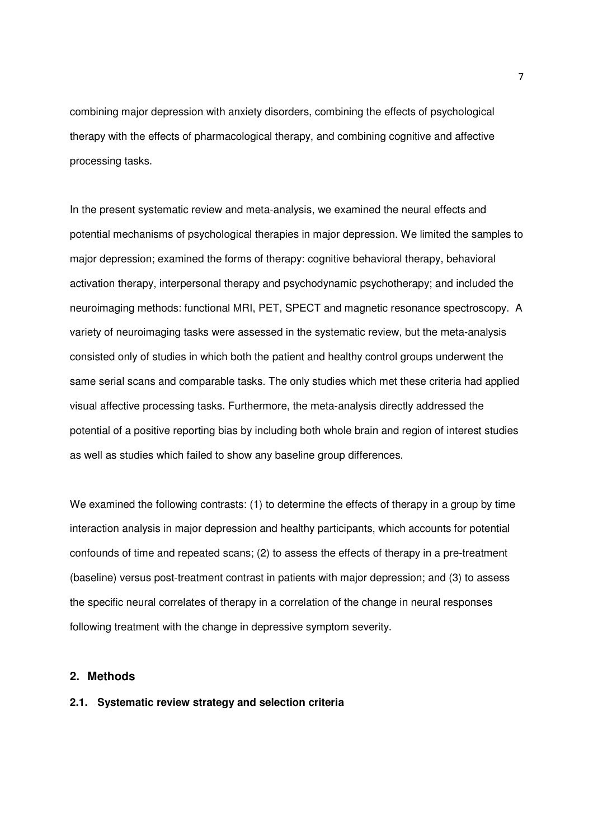combining major depression with anxiety disorders, combining the effects of psychological therapy with the effects of pharmacological therapy, and combining cognitive and affective processing tasks.

In the present systematic review and meta-analysis, we examined the neural effects and potential mechanisms of psychological therapies in major depression. We limited the samples to major depression; examined the forms of therapy: cognitive behavioral therapy, behavioral activation therapy, interpersonal therapy and psychodynamic psychotherapy; and included the neuroimaging methods: functional MRI, PET, SPECT and magnetic resonance spectroscopy. A variety of neuroimaging tasks were assessed in the systematic review, but the meta-analysis consisted only of studies in which both the patient and healthy control groups underwent the same serial scans and comparable tasks. The only studies which met these criteria had applied visual affective processing tasks. Furthermore, the meta-analysis directly addressed the potential of a positive reporting bias by including both whole brain and region of interest studies as well as studies which failed to show any baseline group differences.

We examined the following contrasts: (1) to determine the effects of therapy in a group by time interaction analysis in major depression and healthy participants, which accounts for potential confounds of time and repeated scans; (2) to assess the effects of therapy in a pre-treatment (baseline) versus post-treatment contrast in patients with major depression; and (3) to assess the specific neural correlates of therapy in a correlation of the change in neural responses following treatment with the change in depressive symptom severity.

# **2. Methods**

# **2.1. Systematic review strategy and selection criteria**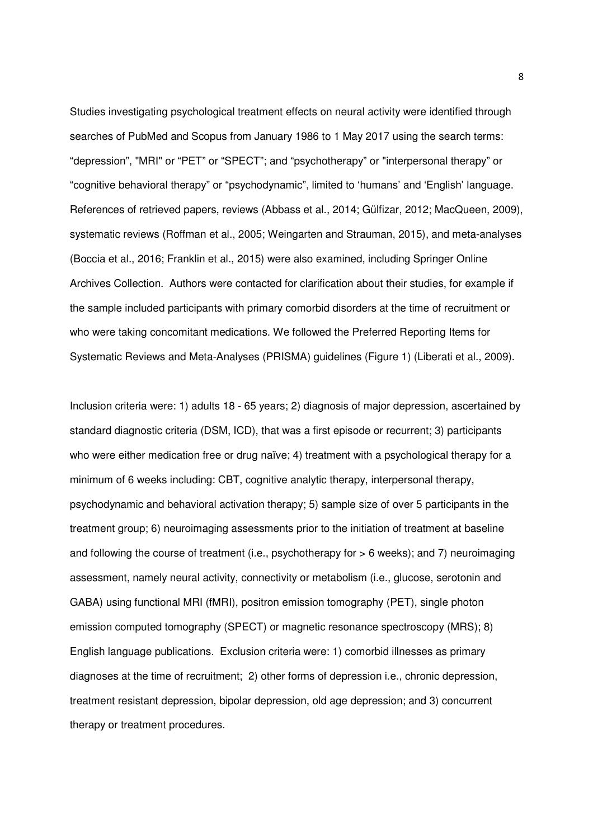Studies investigating psychological treatment effects on neural activity were identified through searches of PubMed and Scopus from January 1986 to 1 May 2017 using the search terms: "depression", "MRI" or "PET" or "SPECT"; and "psychotherapy" or "interpersonal therapy" or "cognitive behavioral therapy" or "psychodynamic", limited to 'humans' and 'English' language. References of retrieved papers, reviews (Abbass et al., 2014; Gülfizar, 2012; MacQueen, 2009), systematic reviews (Roffman et al., 2005; Weingarten and Strauman, 2015), and meta-analyses (Boccia et al., 2016; Franklin et al., 2015) were also examined, including Springer Online Archives Collection. Authors were contacted for clarification about their studies, for example if the sample included participants with primary comorbid disorders at the time of recruitment or who were taking concomitant medications. We followed the Preferred Reporting Items for Systematic Reviews and Meta-Analyses (PRISMA) guidelines (Figure 1) (Liberati et al., 2009).

Inclusion criteria were: 1) adults 18 - 65 years; 2) diagnosis of major depression, ascertained by standard diagnostic criteria (DSM, ICD), that was a first episode or recurrent; 3) participants who were either medication free or drug naïve; 4) treatment with a psychological therapy for a minimum of 6 weeks including: CBT, cognitive analytic therapy, interpersonal therapy, psychodynamic and behavioral activation therapy; 5) sample size of over 5 participants in the treatment group; 6) neuroimaging assessments prior to the initiation of treatment at baseline and following the course of treatment (i.e., psychotherapy for > 6 weeks); and 7) neuroimaging assessment, namely neural activity, connectivity or metabolism (i.e., glucose, serotonin and GABA) using functional MRI (fMRI), positron emission tomography (PET), single photon emission computed tomography (SPECT) or magnetic resonance spectroscopy (MRS); 8) English language publications. Exclusion criteria were: 1) comorbid illnesses as primary diagnoses at the time of recruitment; 2) other forms of depression i.e., chronic depression, treatment resistant depression, bipolar depression, old age depression; and 3) concurrent therapy or treatment procedures.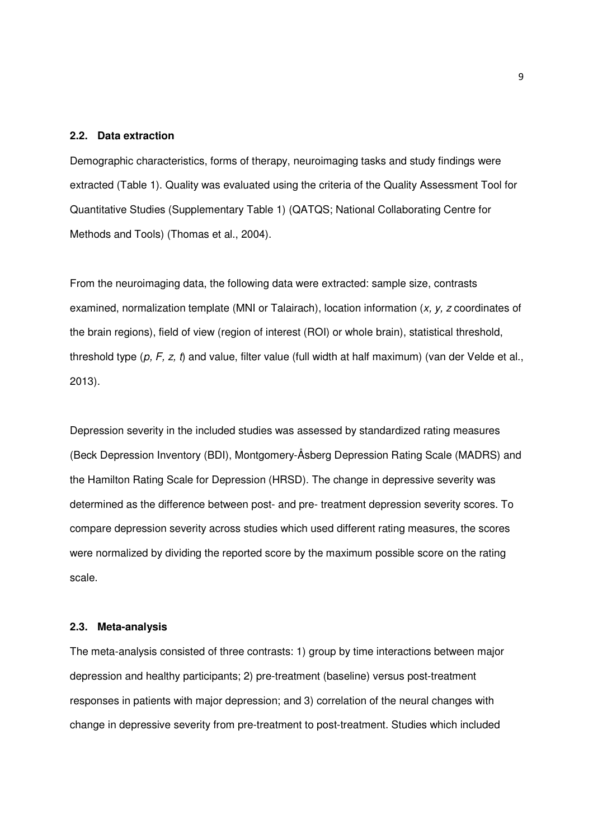#### **2.2. Data extraction**

Demographic characteristics, forms of therapy, neuroimaging tasks and study findings were extracted (Table 1). Quality was evaluated using the criteria of the Quality Assessment Tool for Quantitative Studies (Supplementary Table 1) (QATQS; National Collaborating Centre for Methods and Tools) (Thomas et al., 2004).

From the neuroimaging data, the following data were extracted: sample size, contrasts examined, normalization template (MNI or Talairach), location information  $(x, y, z)$  coordinates of the brain regions), field of view (region of interest (ROI) or whole brain), statistical threshold, threshold type  $(p, F, z, t)$  and value, filter value (full width at half maximum) (van der Velde et al., 2013).

Depression severity in the included studies was assessed by standardized rating measures (Beck Depression Inventory (BDI), Montgomery-Åsberg Depression Rating Scale (MADRS) and the Hamilton Rating Scale for Depression (HRSD). The change in depressive severity was determined as the difference between post- and pre- treatment depression severity scores. To compare depression severity across studies which used different rating measures, the scores were normalized by dividing the reported score by the maximum possible score on the rating scale.

#### **2.3. Meta-analysis**

The meta-analysis consisted of three contrasts: 1) group by time interactions between major depression and healthy participants; 2) pre-treatment (baseline) versus post-treatment responses in patients with major depression; and 3) correlation of the neural changes with change in depressive severity from pre-treatment to post-treatment. Studies which included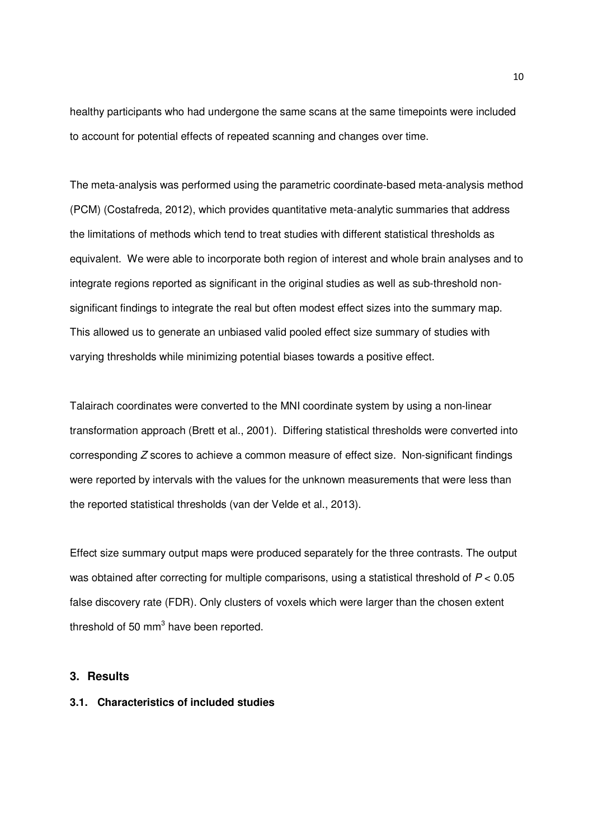healthy participants who had undergone the same scans at the same timepoints were included to account for potential effects of repeated scanning and changes over time.

The meta-analysis was performed using the parametric coordinate-based meta-analysis method (PCM) (Costafreda, 2012), which provides quantitative meta-analytic summaries that address the limitations of methods which tend to treat studies with different statistical thresholds as equivalent. We were able to incorporate both region of interest and whole brain analyses and to integrate regions reported as significant in the original studies as well as sub-threshold nonsignificant findings to integrate the real but often modest effect sizes into the summary map. This allowed us to generate an unbiased valid pooled effect size summary of studies with varying thresholds while minimizing potential biases towards a positive effect.

Talairach coordinates were converted to the MNI coordinate system by using a non-linear transformation approach (Brett et al., 2001). Differing statistical thresholds were converted into corresponding  $Z$  scores to achieve a common measure of effect size. Non-significant findings were reported by intervals with the values for the unknown measurements that were less than the reported statistical thresholds (van der Velde et al., 2013).

Effect size summary output maps were produced separately for the three contrasts. The output was obtained after correcting for multiple comparisons, using a statistical threshold of  $P < 0.05$ false discovery rate (FDR). Only clusters of voxels which were larger than the chosen extent threshold of 50  $mm<sup>3</sup>$  have been reported.

# **3. Results**

# **3.1. Characteristics of included studies**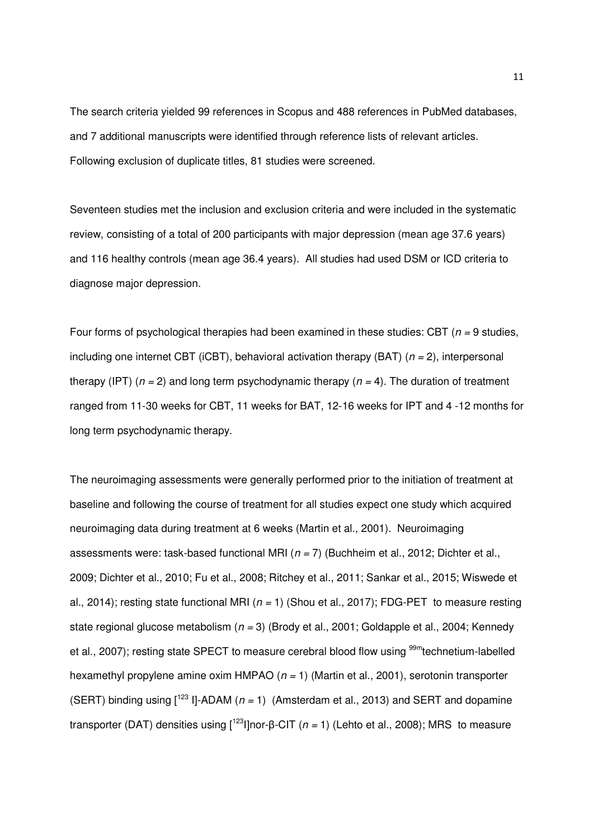The search criteria yielded 99 references in Scopus and 488 references in PubMed databases, and 7 additional manuscripts were identified through reference lists of relevant articles. Following exclusion of duplicate titles, 81 studies were screened.

Seventeen studies met the inclusion and exclusion criteria and were included in the systematic review, consisting of a total of 200 participants with major depression (mean age 37.6 years) and 116 healthy controls (mean age 36.4 years). All studies had used DSM or ICD criteria to diagnose major depression.

Four forms of psychological therapies had been examined in these studies: CBT ( $n = 9$  studies, including one internet CBT (iCBT), behavioral activation therapy (BAT) ( $n = 2$ ), interpersonal therapy (IPT) ( $n = 2$ ) and long term psychodynamic therapy ( $n = 4$ ). The duration of treatment ranged from 11-30 weeks for CBT, 11 weeks for BAT, 12-16 weeks for IPT and 4 -12 months for long term psychodynamic therapy.

The neuroimaging assessments were generally performed prior to the initiation of treatment at baseline and following the course of treatment for all studies expect one study which acquired neuroimaging data during treatment at 6 weeks (Martin et al., 2001). Neuroimaging assessments were: task-based functional MRI ( $n = 7$ ) (Buchheim et al., 2012; Dichter et al., 2009; Dichter et al., 2010; Fu et al., 2008; Ritchey et al., 2011; Sankar et al., 2015; Wiswede et al., 2014); resting state functional MRI ( $n = 1$ ) (Shou et al., 2017); FDG-PET to measure resting state regional glucose metabolism ( $n = 3$ ) (Brody et al., 2001; Goldapple et al., 2004; Kennedy et al., 2007); resting state SPECT to measure cerebral blood flow using <sup>99m</sup>technetium-labelled hexamethyl propylene amine oxim HMPAO  $(n = 1)$  (Martin et al., 2001), serotonin transporter (SERT) binding using  $[1^{23} 1]$ -ADAM ( $n = 1$ ) (Amsterdam et al., 2013) and SERT and dopamine transporter (DAT) densities using  $\lceil^{123} \rceil$ nor- $\beta$ -CIT (n = 1) (Lehto et al., 2008); MRS to measure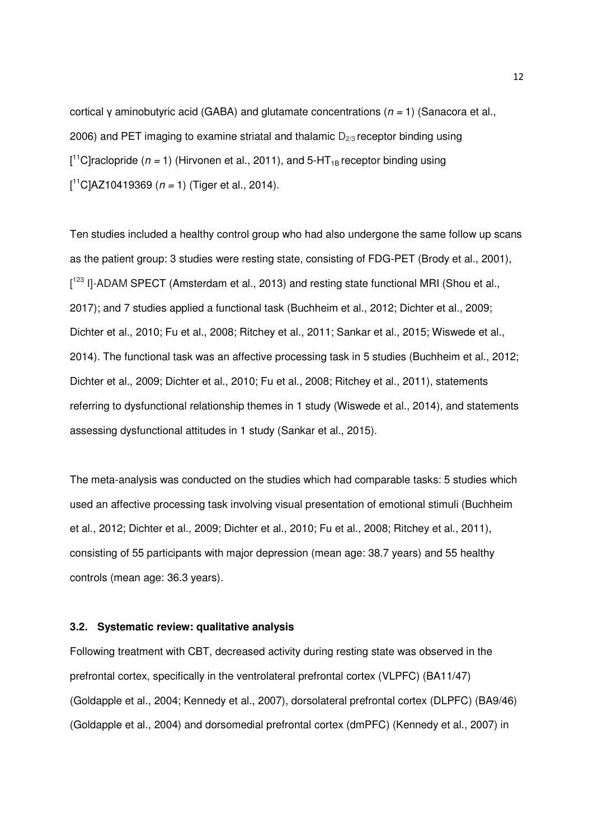cortical y aminobutyric acid (GABA) and glutamate concentrations ( $n = 1$ ) (Sanacora et al., 2006) and PET imaging to examine striatal and thalamic  $D_{2/3}$  receptor binding using  $\left[ {}^{11}$ C]raclopride (n = 1) (Hirvonen et al., 2011), and 5-HT<sub>1B</sub> receptor binding using  $[^{11}C]$ AZ10419369 (*n* = 1) (Tiger et al., 2014).

Ten studies included a healthy control group who had also undergone the same follow up scans as the patient group: 3 studies were resting state, consisting of FDG-PET (Brody et al., 2001),  $[1^{23}]$  I]-ADAM SPECT (Amsterdam et al., 2013) and resting state functional MRI (Shou et al., 2017); and 7 studies applied a functional task (Buchheim et al., 2012; Dichter et al., 2009; Dichter et al., 2010; Fu et al., 2008; Ritchey et al., 2011; Sankar et al., 2015; Wiswede et al., 2014). The functional task was an affective processing task in 5 studies (Buchheim et al., 2012; Dichter et al., 2009; Dichter et al., 2010; Fu et al., 2008; Ritchey et al., 2011), statements referring to dysfunctional relationship themes in 1 study (Wiswede et al., 2014), and statements assessing dysfunctional attitudes in 1 study (Sankar et al., 2015).

The meta-analysis was conducted on the studies which had comparable tasks: 5 studies which used an affective processing task involving visual presentation of emotional stimuli (Buchheim et al., 2012; Dichter et al., 2009; Dichter et al., 2010; Fu et al., 2008; Ritchey et al., 2011), consisting of 55 participants with major depression (mean age: 38.7 years) and 55 healthy controls (mean age: 36.3 years).

#### **3.2. Systematic review: qualitative analysis**

Following treatment with CBT, decreased activity during resting state was observed in the prefrontal cortex, specifically in the ventrolateral prefrontal cortex (VLPFC) (BA11/47) (Goldapple et al., 2004; Kennedy et al., 2007), dorsolateral prefrontal cortex (DLPFC) (BA9/46) (Goldapple et al., 2004) and dorsomedial prefrontal cortex (dmPFC) (Kennedy et al., 2007) in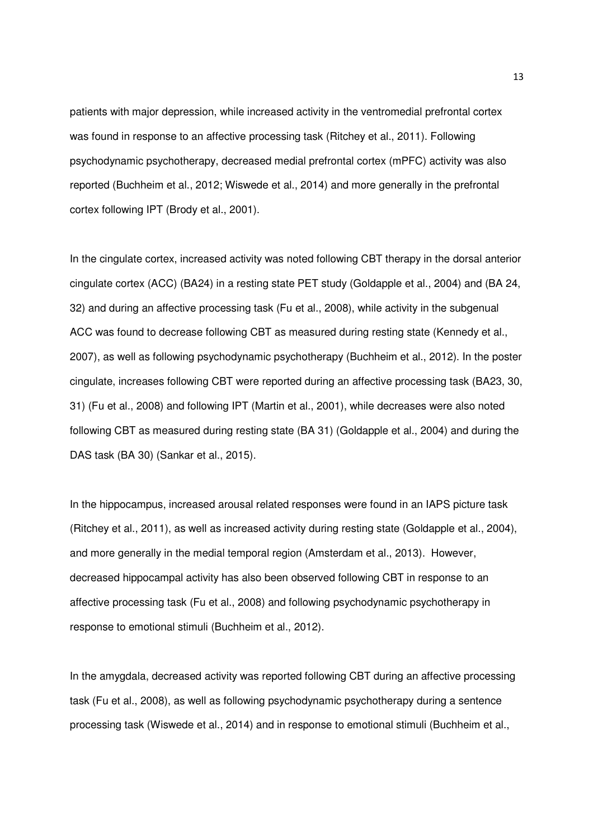patients with major depression, while increased activity in the ventromedial prefrontal cortex was found in response to an affective processing task (Ritchey et al., 2011). Following psychodynamic psychotherapy, decreased medial prefrontal cortex (mPFC) activity was also reported (Buchheim et al., 2012; Wiswede et al., 2014) and more generally in the prefrontal cortex following IPT (Brody et al., 2001).

In the cingulate cortex, increased activity was noted following CBT therapy in the dorsal anterior cingulate cortex (ACC) (BA24) in a resting state PET study (Goldapple et al., 2004) and (BA 24, 32) and during an affective processing task (Fu et al., 2008), while activity in the subgenual ACC was found to decrease following CBT as measured during resting state (Kennedy et al., 2007), as well as following psychodynamic psychotherapy (Buchheim et al., 2012). In the poster cingulate, increases following CBT were reported during an affective processing task (BA23, 30, 31) (Fu et al., 2008) and following IPT (Martin et al., 2001), while decreases were also noted following CBT as measured during resting state (BA 31) (Goldapple et al., 2004) and during the DAS task (BA 30) (Sankar et al., 2015).

In the hippocampus, increased arousal related responses were found in an IAPS picture task (Ritchey et al., 2011), as well as increased activity during resting state (Goldapple et al., 2004), and more generally in the medial temporal region (Amsterdam et al., 2013). However, decreased hippocampal activity has also been observed following CBT in response to an affective processing task (Fu et al., 2008) and following psychodynamic psychotherapy in response to emotional stimuli (Buchheim et al., 2012).

In the amygdala, decreased activity was reported following CBT during an affective processing task (Fu et al., 2008), as well as following psychodynamic psychotherapy during a sentence processing task (Wiswede et al., 2014) and in response to emotional stimuli (Buchheim et al.,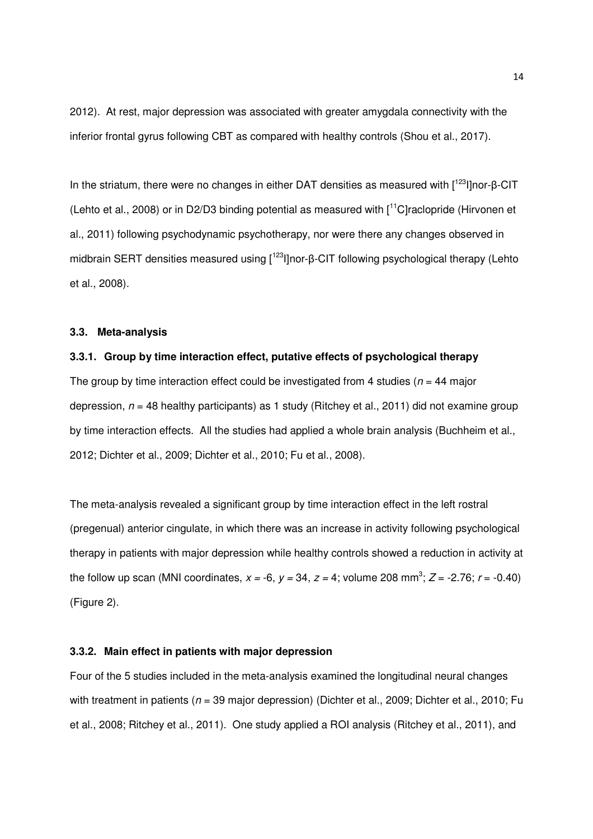2012). At rest, major depression was associated with greater amygdala connectivity with the inferior frontal gyrus following CBT as compared with healthy controls (Shou et al., 2017).

In the striatum, there were no changes in either DAT densities as measured with  $I^{123}$ I]nor- $\beta$ -CIT (Lehto et al., 2008) or in D2/D3 binding potential as measured with [<sup>11</sup>C]raclopride (Hirvonen et al., 2011) following psychodynamic psychotherapy, nor were there any changes observed in midbrain SERT densities measured using  $\int_0^{123}$ l]nor- $\beta$ -CIT following psychological therapy (Lehto et al., 2008).

#### **3.3. Meta-analysis**

#### **3.3.1. Group by time interaction effect, putative effects of psychological therapy**

The group by time interaction effect could be investigated from 4 studies ( $n = 44$  major depression,  $n = 48$  healthy participants) as 1 study (Ritchey et al., 2011) did not examine group by time interaction effects. All the studies had applied a whole brain analysis (Buchheim et al., 2012; Dichter et al., 2009; Dichter et al., 2010; Fu et al., 2008).

The meta-analysis revealed a significant group by time interaction effect in the left rostral (pregenual) anterior cingulate, in which there was an increase in activity following psychological therapy in patients with major depression while healthy controls showed a reduction in activity at the follow up scan (MNI coordinates,  $x = -6$ ,  $y = 34$ ,  $z = 4$ ; volume 208 mm<sup>3</sup>;  $Z = -2.76$ ;  $r = -0.40$ ) (Figure 2).

# **3.3.2. Main effect in patients with major depression**

Four of the 5 studies included in the meta-analysis examined the longitudinal neural changes with treatment in patients ( $n = 39$  major depression) (Dichter et al., 2009; Dichter et al., 2010; Fu et al., 2008; Ritchey et al., 2011). One study applied a ROI analysis (Ritchey et al., 2011), and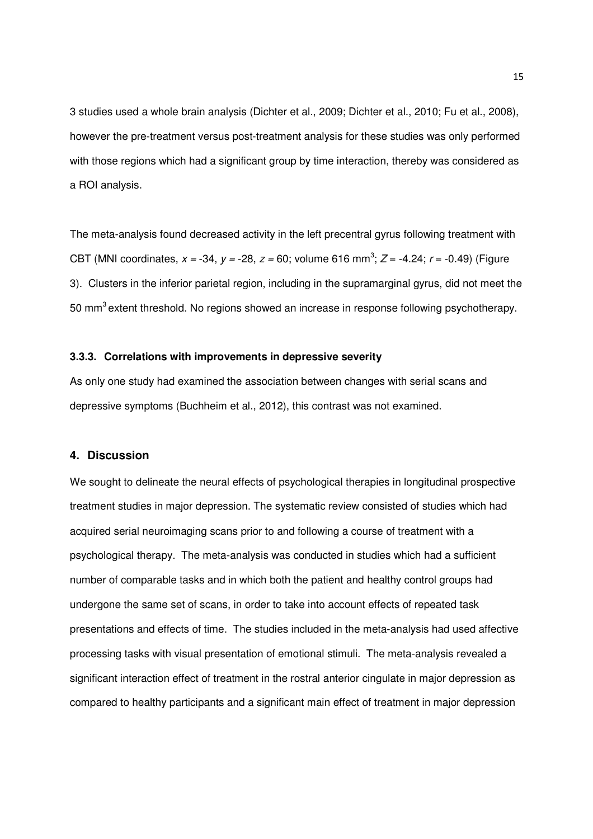3 studies used a whole brain analysis (Dichter et al., 2009; Dichter et al., 2010; Fu et al., 2008), however the pre-treatment versus post-treatment analysis for these studies was only performed with those regions which had a significant group by time interaction, thereby was considered as a ROI analysis.

The meta-analysis found decreased activity in the left precentral gyrus following treatment with CBT (MNI coordinates,  $x = -34$ ,  $y = -28$ ,  $z = 60$ ; volume 616 mm<sup>3</sup>;  $Z = -4.24$ ;  $r = -0.49$ ) (Figure 3). Clusters in the inferior parietal region, including in the supramarginal gyrus, did not meet the 50 mm<sup>3</sup> extent threshold. No regions showed an increase in response following psychotherapy.

#### **3.3.3. Correlations with improvements in depressive severity**

As only one study had examined the association between changes with serial scans and depressive symptoms (Buchheim et al., 2012), this contrast was not examined.

## **4. Discussion**

We sought to delineate the neural effects of psychological therapies in longitudinal prospective treatment studies in major depression. The systematic review consisted of studies which had acquired serial neuroimaging scans prior to and following a course of treatment with a psychological therapy. The meta-analysis was conducted in studies which had a sufficient number of comparable tasks and in which both the patient and healthy control groups had undergone the same set of scans, in order to take into account effects of repeated task presentations and effects of time. The studies included in the meta-analysis had used affective processing tasks with visual presentation of emotional stimuli. The meta-analysis revealed a significant interaction effect of treatment in the rostral anterior cingulate in major depression as compared to healthy participants and a significant main effect of treatment in major depression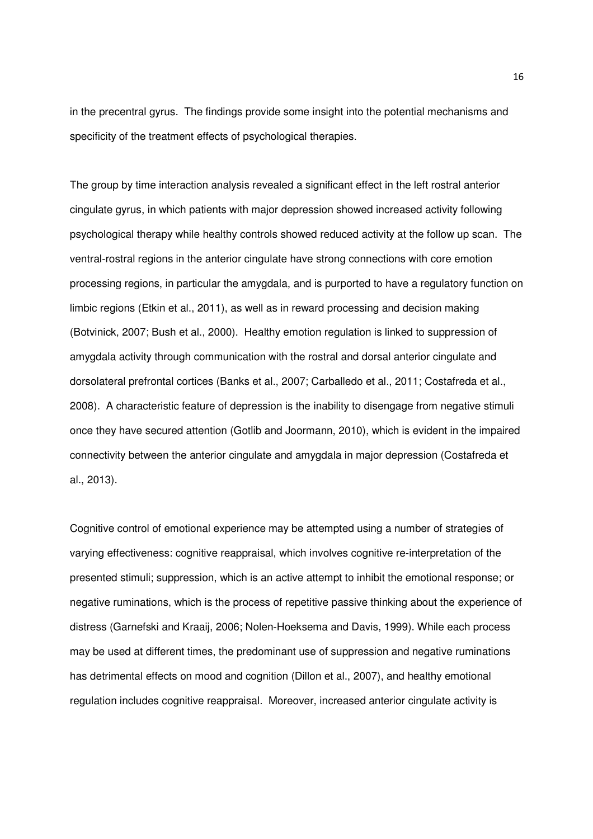in the precentral gyrus. The findings provide some insight into the potential mechanisms and specificity of the treatment effects of psychological therapies.

The group by time interaction analysis revealed a significant effect in the left rostral anterior cingulate gyrus, in which patients with major depression showed increased activity following psychological therapy while healthy controls showed reduced activity at the follow up scan. The ventral-rostral regions in the anterior cingulate have strong connections with core emotion processing regions, in particular the amygdala, and is purported to have a regulatory function on limbic regions (Etkin et al., 2011), as well as in reward processing and decision making (Botvinick, 2007; Bush et al., 2000). Healthy emotion regulation is linked to suppression of amygdala activity through communication with the rostral and dorsal anterior cingulate and dorsolateral prefrontal cortices (Banks et al., 2007; Carballedo et al., 2011; Costafreda et al., 2008). A characteristic feature of depression is the inability to disengage from negative stimuli once they have secured attention (Gotlib and Joormann, 2010), which is evident in the impaired connectivity between the anterior cingulate and amygdala in major depression (Costafreda et al., 2013).

Cognitive control of emotional experience may be attempted using a number of strategies of varying effectiveness: cognitive reappraisal, which involves cognitive re-interpretation of the presented stimuli; suppression, which is an active attempt to inhibit the emotional response; or negative ruminations, which is the process of repetitive passive thinking about the experience of distress (Garnefski and Kraaij, 2006; Nolen-Hoeksema and Davis, 1999). While each process may be used at different times, the predominant use of suppression and negative ruminations has detrimental effects on mood and cognition (Dillon et al., 2007), and healthy emotional regulation includes cognitive reappraisal. Moreover, increased anterior cingulate activity is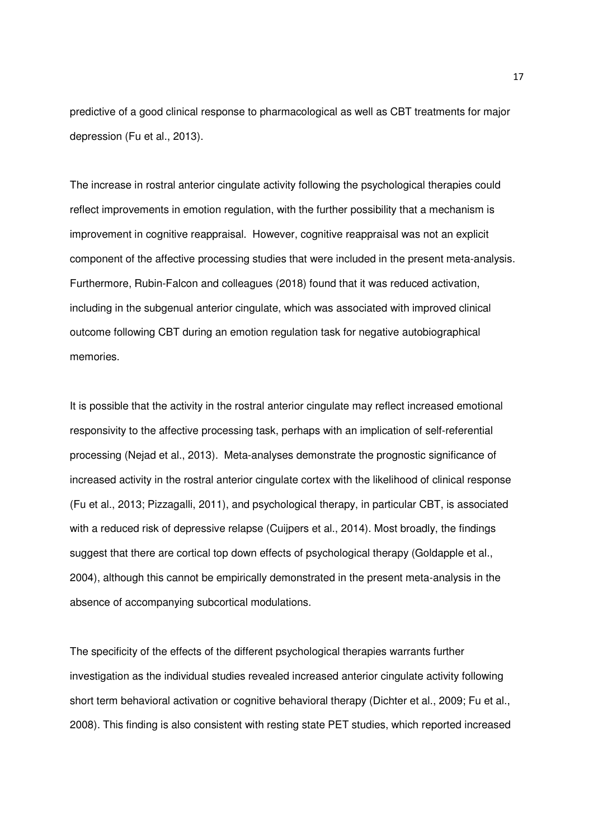predictive of a good clinical response to pharmacological as well as CBT treatments for major depression (Fu et al., 2013).

The increase in rostral anterior cingulate activity following the psychological therapies could reflect improvements in emotion regulation, with the further possibility that a mechanism is improvement in cognitive reappraisal. However, cognitive reappraisal was not an explicit component of the affective processing studies that were included in the present meta-analysis. Furthermore, Rubin-Falcon and colleagues (2018) found that it was reduced activation, including in the subgenual anterior cingulate, which was associated with improved clinical outcome following CBT during an emotion regulation task for negative autobiographical memories.

It is possible that the activity in the rostral anterior cingulate may reflect increased emotional responsivity to the affective processing task, perhaps with an implication of self-referential processing (Nejad et al., 2013). Meta-analyses demonstrate the prognostic significance of increased activity in the rostral anterior cingulate cortex with the likelihood of clinical response (Fu et al., 2013; Pizzagalli, 2011), and psychological therapy, in particular CBT, is associated with a reduced risk of depressive relapse (Cuijpers et al., 2014). Most broadly, the findings suggest that there are cortical top down effects of psychological therapy (Goldapple et al., 2004), although this cannot be empirically demonstrated in the present meta-analysis in the absence of accompanying subcortical modulations.

The specificity of the effects of the different psychological therapies warrants further investigation as the individual studies revealed increased anterior cingulate activity following short term behavioral activation or cognitive behavioral therapy (Dichter et al., 2009; Fu et al., 2008). This finding is also consistent with resting state PET studies, which reported increased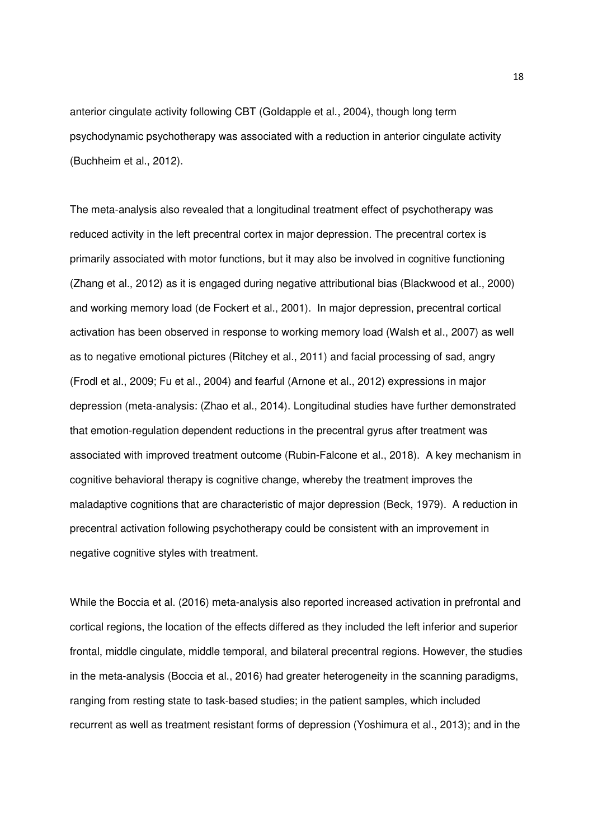anterior cingulate activity following CBT (Goldapple et al., 2004), though long term psychodynamic psychotherapy was associated with a reduction in anterior cingulate activity (Buchheim et al., 2012).

The meta-analysis also revealed that a longitudinal treatment effect of psychotherapy was reduced activity in the left precentral cortex in major depression. The precentral cortex is primarily associated with motor functions, but it may also be involved in cognitive functioning (Zhang et al., 2012) as it is engaged during negative attributional bias (Blackwood et al., 2000) and working memory load (de Fockert et al., 2001). In major depression, precentral cortical activation has been observed in response to working memory load (Walsh et al., 2007) as well as to negative emotional pictures (Ritchey et al., 2011) and facial processing of sad, angry (Frodl et al., 2009; Fu et al., 2004) and fearful (Arnone et al., 2012) expressions in major depression (meta-analysis: (Zhao et al., 2014). Longitudinal studies have further demonstrated that emotion-regulation dependent reductions in the precentral gyrus after treatment was associated with improved treatment outcome (Rubin-Falcone et al., 2018). A key mechanism in cognitive behavioral therapy is cognitive change, whereby the treatment improves the maladaptive cognitions that are characteristic of major depression (Beck, 1979). A reduction in precentral activation following psychotherapy could be consistent with an improvement in negative cognitive styles with treatment.

While the Boccia et al. (2016) meta-analysis also reported increased activation in prefrontal and cortical regions, the location of the effects differed as they included the left inferior and superior frontal, middle cingulate, middle temporal, and bilateral precentral regions. However, the studies in the meta-analysis (Boccia et al., 2016) had greater heterogeneity in the scanning paradigms, ranging from resting state to task-based studies; in the patient samples, which included recurrent as well as treatment resistant forms of depression (Yoshimura et al., 2013); and in the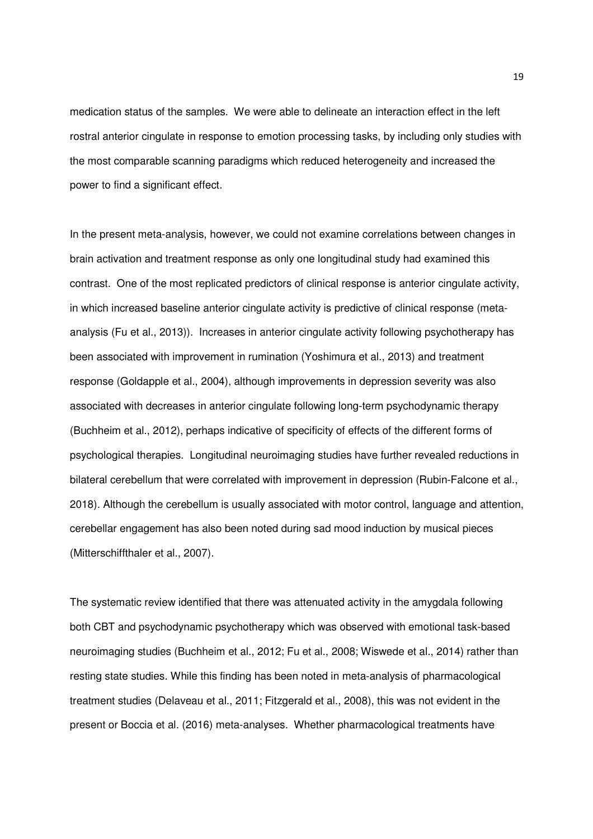medication status of the samples. We were able to delineate an interaction effect in the left rostral anterior cingulate in response to emotion processing tasks, by including only studies with the most comparable scanning paradigms which reduced heterogeneity and increased the power to find a significant effect.

In the present meta-analysis, however, we could not examine correlations between changes in brain activation and treatment response as only one longitudinal study had examined this contrast. One of the most replicated predictors of clinical response is anterior cingulate activity, in which increased baseline anterior cingulate activity is predictive of clinical response (metaanalysis (Fu et al., 2013)). Increases in anterior cingulate activity following psychotherapy has been associated with improvement in rumination (Yoshimura et al., 2013) and treatment response (Goldapple et al., 2004), although improvements in depression severity was also associated with decreases in anterior cingulate following long-term psychodynamic therapy (Buchheim et al., 2012), perhaps indicative of specificity of effects of the different forms of psychological therapies. Longitudinal neuroimaging studies have further revealed reductions in bilateral cerebellum that were correlated with improvement in depression (Rubin-Falcone et al., 2018). Although the cerebellum is usually associated with motor control, language and attention, cerebellar engagement has also been noted during sad mood induction by musical pieces (Mitterschiffthaler et al., 2007).

The systematic review identified that there was attenuated activity in the amygdala following both CBT and psychodynamic psychotherapy which was observed with emotional task-based neuroimaging studies (Buchheim et al., 2012; Fu et al., 2008; Wiswede et al., 2014) rather than resting state studies. While this finding has been noted in meta-analysis of pharmacological treatment studies (Delaveau et al., 2011; Fitzgerald et al., 2008), this was not evident in the present or Boccia et al. (2016) meta-analyses. Whether pharmacological treatments have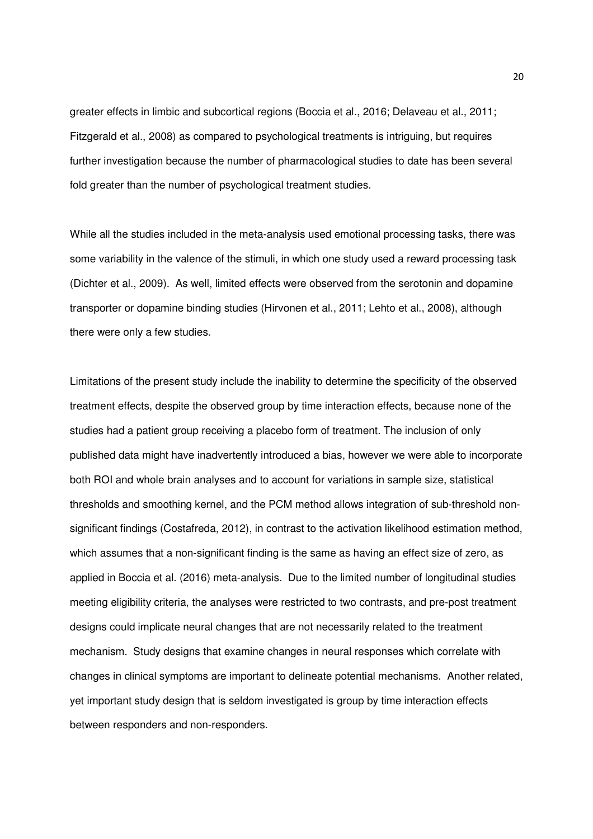greater effects in limbic and subcortical regions (Boccia et al., 2016; Delaveau et al., 2011; Fitzgerald et al., 2008) as compared to psychological treatments is intriguing, but requires further investigation because the number of pharmacological studies to date has been several fold greater than the number of psychological treatment studies.

While all the studies included in the meta-analysis used emotional processing tasks, there was some variability in the valence of the stimuli, in which one study used a reward processing task (Dichter et al., 2009). As well, limited effects were observed from the serotonin and dopamine transporter or dopamine binding studies (Hirvonen et al., 2011; Lehto et al., 2008), although there were only a few studies.

Limitations of the present study include the inability to determine the specificity of the observed treatment effects, despite the observed group by time interaction effects, because none of the studies had a patient group receiving a placebo form of treatment. The inclusion of only published data might have inadvertently introduced a bias, however we were able to incorporate both ROI and whole brain analyses and to account for variations in sample size, statistical thresholds and smoothing kernel, and the PCM method allows integration of sub-threshold nonsignificant findings (Costafreda, 2012), in contrast to the activation likelihood estimation method, which assumes that a non-significant finding is the same as having an effect size of zero, as applied in Boccia et al. (2016) meta-analysis. Due to the limited number of longitudinal studies meeting eligibility criteria, the analyses were restricted to two contrasts, and pre-post treatment designs could implicate neural changes that are not necessarily related to the treatment mechanism. Study designs that examine changes in neural responses which correlate with changes in clinical symptoms are important to delineate potential mechanisms. Another related, yet important study design that is seldom investigated is group by time interaction effects between responders and non-responders.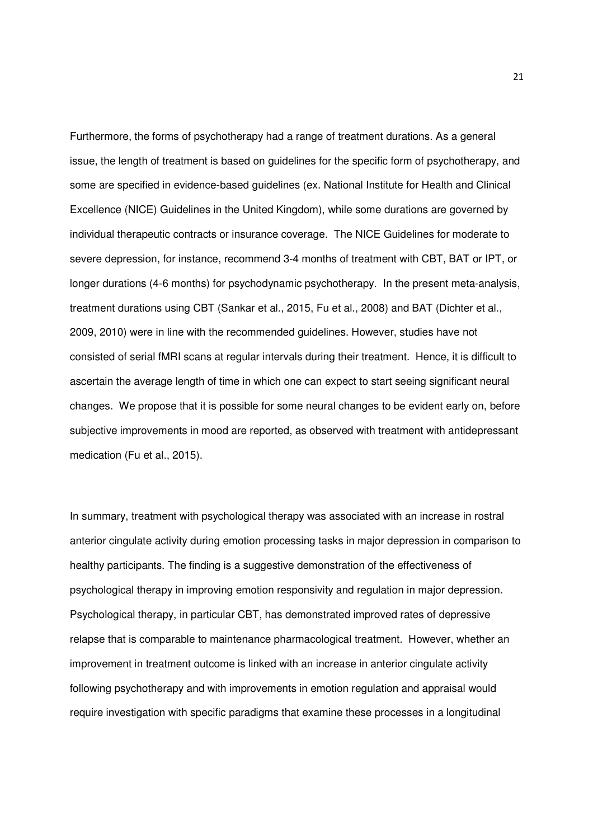Furthermore, the forms of psychotherapy had a range of treatment durations. As a general issue, the length of treatment is based on guidelines for the specific form of psychotherapy, and some are specified in evidence-based guidelines (ex. National Institute for Health and Clinical Excellence (NICE) Guidelines in the United Kingdom), while some durations are governed by individual therapeutic contracts or insurance coverage. The NICE Guidelines for moderate to severe depression, for instance, recommend 3-4 months of treatment with CBT, BAT or IPT, or longer durations (4-6 months) for psychodynamic psychotherapy. In the present meta-analysis, treatment durations using CBT (Sankar et al., 2015, Fu et al., 2008) and BAT (Dichter et al., 2009, 2010) were in line with the recommended guidelines. However, studies have not consisted of serial fMRI scans at regular intervals during their treatment. Hence, it is difficult to ascertain the average length of time in which one can expect to start seeing significant neural changes. We propose that it is possible for some neural changes to be evident early on, before subjective improvements in mood are reported, as observed with treatment with antidepressant medication (Fu et al., 2015).

In summary, treatment with psychological therapy was associated with an increase in rostral anterior cingulate activity during emotion processing tasks in major depression in comparison to healthy participants. The finding is a suggestive demonstration of the effectiveness of psychological therapy in improving emotion responsivity and regulation in major depression. Psychological therapy, in particular CBT, has demonstrated improved rates of depressive relapse that is comparable to maintenance pharmacological treatment. However, whether an improvement in treatment outcome is linked with an increase in anterior cingulate activity following psychotherapy and with improvements in emotion regulation and appraisal would require investigation with specific paradigms that examine these processes in a longitudinal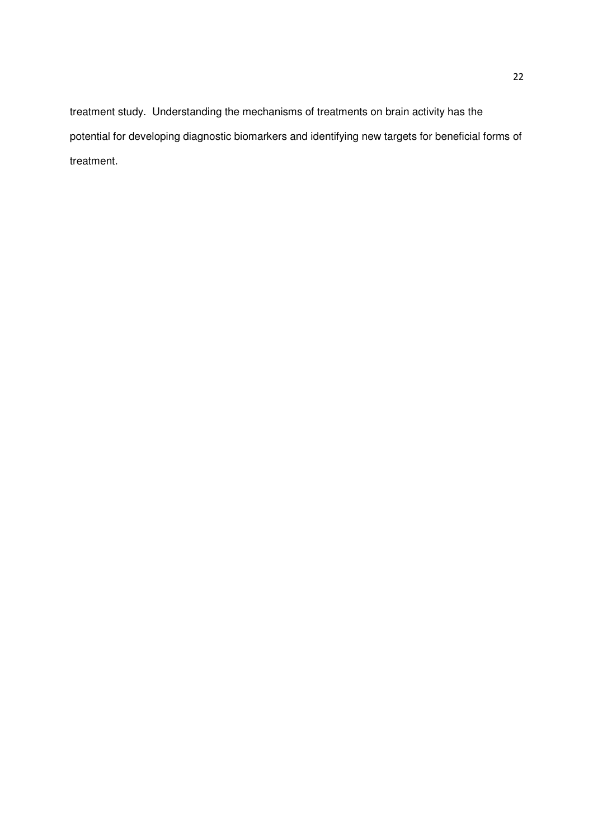treatment study. Understanding the mechanisms of treatments on brain activity has the potential for developing diagnostic biomarkers and identifying new targets for beneficial forms of treatment.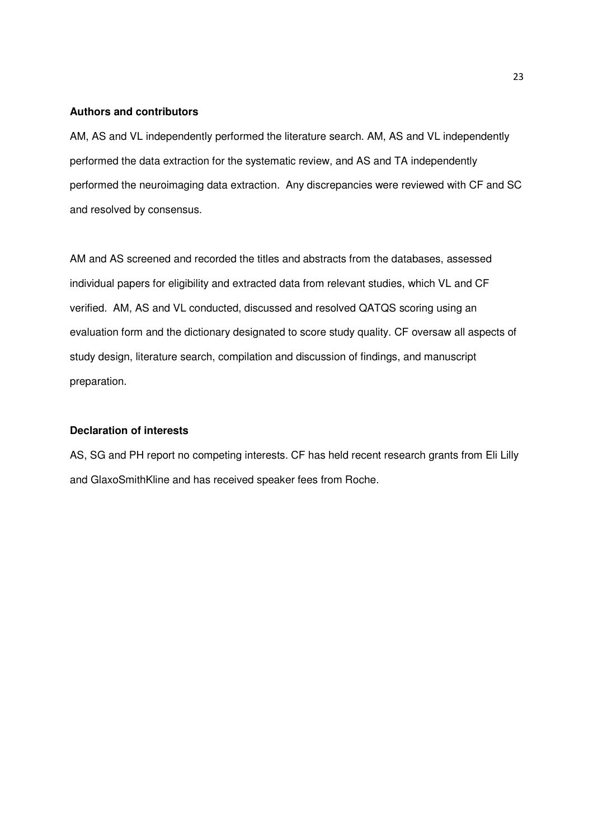#### **Authors and contributors**

AM, AS and VL independently performed the literature search. AM, AS and VL independently performed the data extraction for the systematic review, and AS and TA independently performed the neuroimaging data extraction. Any discrepancies were reviewed with CF and SC and resolved by consensus.

AM and AS screened and recorded the titles and abstracts from the databases, assessed individual papers for eligibility and extracted data from relevant studies, which VL and CF verified. AM, AS and VL conducted, discussed and resolved QATQS scoring using an evaluation form and the dictionary designated to score study quality. CF oversaw all aspects of study design, literature search, compilation and discussion of findings, and manuscript preparation.

# **Declaration of interests**

AS, SG and PH report no competing interests. CF has held recent research grants from Eli Lilly and GlaxoSmithKline and has received speaker fees from Roche.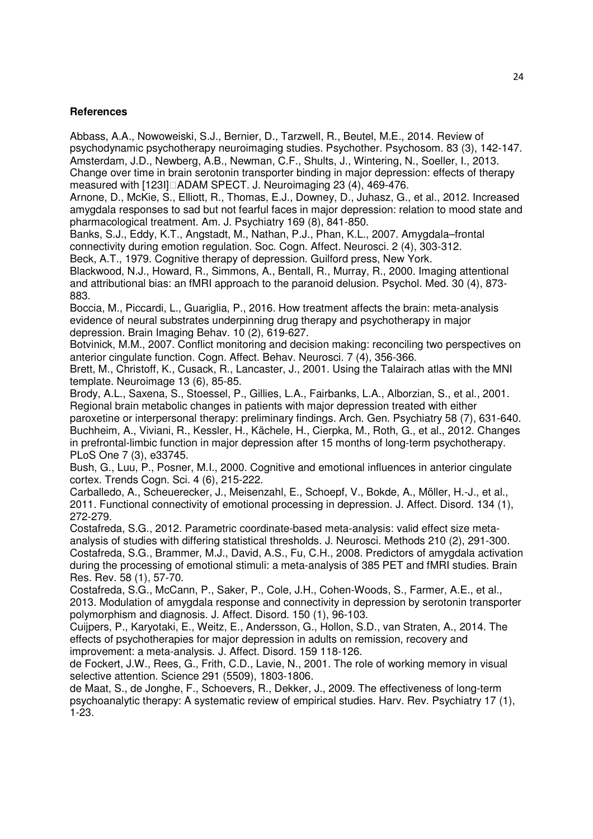## **References**

Abbass, A.A., Nowoweiski, S.J., Bernier, D., Tarzwell, R., Beutel, M.E., 2014. Review of psychodynamic psychotherapy neuroimaging studies. Psychother. Psychosom. 83 (3), 142-147. Amsterdam, J.D., Newberg, A.B., Newman, C.F., Shults, J., Wintering, N., Soeller, I., 2013. Change over time in brain serotonin transporter binding in major depression: effects of therapy measured with [123I]□ADAM SPECT. J. Neuroimaging 23 (4), 469-476.

Arnone, D., McKie, S., Elliott, R., Thomas, E.J., Downey, D., Juhasz, G., et al., 2012. Increased amygdala responses to sad but not fearful faces in major depression: relation to mood state and pharmacological treatment. Am. J. Psychiatry 169 (8), 841-850.

Banks, S.J., Eddy, K.T., Angstadt, M., Nathan, P.J., Phan, K.L., 2007. Amygdala–frontal connectivity during emotion regulation. Soc. Cogn. Affect. Neurosci. 2 (4), 303-312. Beck, A.T., 1979. Cognitive therapy of depression. Guilford press, New York.

Blackwood, N.J., Howard, R., Simmons, A., Bentall, R., Murray, R., 2000. Imaging attentional and attributional bias: an fMRI approach to the paranoid delusion. Psychol. Med. 30 (4), 873- 883.

Boccia, M., Piccardi, L., Guariglia, P., 2016. How treatment affects the brain: meta-analysis evidence of neural substrates underpinning drug therapy and psychotherapy in major depression. Brain Imaging Behav. 10 (2), 619-627.

Botvinick, M.M., 2007. Conflict monitoring and decision making: reconciling two perspectives on anterior cingulate function. Cogn. Affect. Behav. Neurosci. 7 (4), 356-366.

Brett, M., Christoff, K., Cusack, R., Lancaster, J., 2001. Using the Talairach atlas with the MNI template. Neuroimage 13 (6), 85-85.

Brody, A.L., Saxena, S., Stoessel, P., Gillies, L.A., Fairbanks, L.A., Alborzian, S., et al., 2001. Regional brain metabolic changes in patients with major depression treated with either paroxetine or interpersonal therapy: preliminary findings. Arch. Gen. Psychiatry 58 (7), 631-640. Buchheim, A., Viviani, R., Kessler, H., Kächele, H., Cierpka, M., Roth, G., et al., 2012. Changes in prefrontal-limbic function in major depression after 15 months of long-term psychotherapy. PLoS One 7 (3), e33745.

Bush, G., Luu, P., Posner, M.I., 2000. Cognitive and emotional influences in anterior cingulate cortex. Trends Cogn. Sci. 4 (6), 215-222.

Carballedo, A., Scheuerecker, J., Meisenzahl, E., Schoepf, V., Bokde, A., Möller, H.-J., et al., 2011. Functional connectivity of emotional processing in depression. J. Affect. Disord. 134 (1), 272-279.

Costafreda, S.G., 2012. Parametric coordinate-based meta-analysis: valid effect size metaanalysis of studies with differing statistical thresholds. J. Neurosci. Methods 210 (2), 291-300. Costafreda, S.G., Brammer, M.J., David, A.S., Fu, C.H., 2008. Predictors of amygdala activation during the processing of emotional stimuli: a meta-analysis of 385 PET and fMRI studies. Brain Res. Rev. 58 (1), 57-70.

Costafreda, S.G., McCann, P., Saker, P., Cole, J.H., Cohen-Woods, S., Farmer, A.E., et al., 2013. Modulation of amygdala response and connectivity in depression by serotonin transporter polymorphism and diagnosis. J. Affect. Disord. 150 (1), 96-103.

Cuijpers, P., Karyotaki, E., Weitz, E., Andersson, G., Hollon, S.D., van Straten, A., 2014. The effects of psychotherapies for major depression in adults on remission, recovery and improvement: a meta-analysis. J. Affect. Disord. 159 118-126.

de Fockert, J.W., Rees, G., Frith, C.D., Lavie, N., 2001. The role of working memory in visual selective attention. Science 291 (5509), 1803-1806.

de Maat, S., de Jonghe, F., Schoevers, R., Dekker, J., 2009. The effectiveness of long-term psychoanalytic therapy: A systematic review of empirical studies. Harv. Rev. Psychiatry 17 (1), 1-23.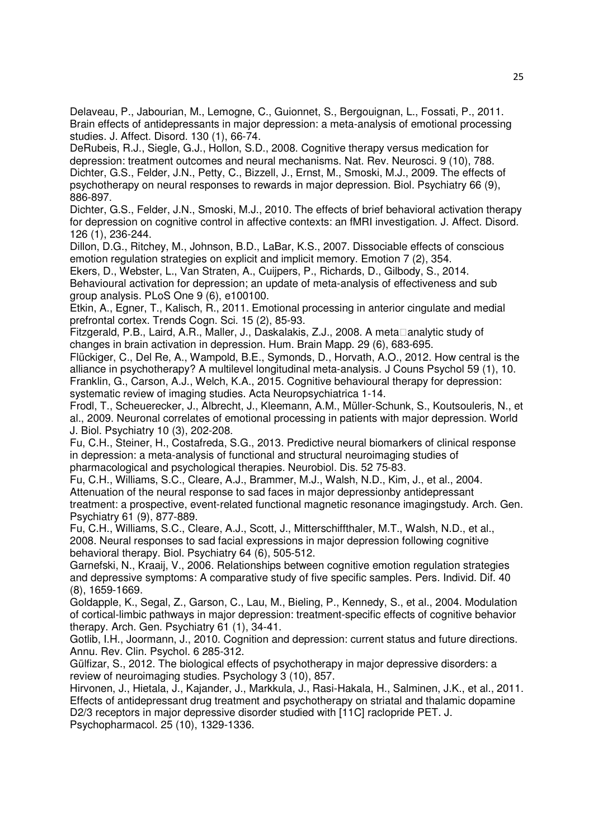Delaveau, P., Jabourian, M., Lemogne, C., Guionnet, S., Bergouignan, L., Fossati, P., 2011. Brain effects of antidepressants in major depression: a meta-analysis of emotional processing studies. J. Affect. Disord. 130 (1), 66-74.

DeRubeis, R.J., Siegle, G.J., Hollon, S.D., 2008. Cognitive therapy versus medication for depression: treatment outcomes and neural mechanisms. Nat. Rev. Neurosci. 9 (10), 788. Dichter, G.S., Felder, J.N., Petty, C., Bizzell, J., Ernst, M., Smoski, M.J., 2009. The effects of psychotherapy on neural responses to rewards in major depression. Biol. Psychiatry 66 (9), 886-897.

Dichter, G.S., Felder, J.N., Smoski, M.J., 2010. The effects of brief behavioral activation therapy for depression on cognitive control in affective contexts: an fMRI investigation. J. Affect. Disord. 126 (1), 236-244.

Dillon, D.G., Ritchey, M., Johnson, B.D., LaBar, K.S., 2007. Dissociable effects of conscious emotion regulation strategies on explicit and implicit memory. Emotion 7 (2), 354.

Ekers, D., Webster, L., Van Straten, A., Cuijpers, P., Richards, D., Gilbody, S., 2014. Behavioural activation for depression; an update of meta-analysis of effectiveness and sub group analysis. PLoS One 9 (6), e100100.

Etkin, A., Egner, T., Kalisch, R., 2011. Emotional processing in anterior cingulate and medial prefrontal cortex. Trends Cogn. Sci. 15 (2), 85-93.

Fitzgerald, P.B., Laird, A.R., Maller, J., Daskalakis, Z.J., 2008. A meta**Danalytic study of** changes in brain activation in depression. Hum. Brain Mapp. 29 (6), 683-695.

Flückiger, C., Del Re, A., Wampold, B.E., Symonds, D., Horvath, A.O., 2012. How central is the alliance in psychotherapy? A multilevel longitudinal meta-analysis. J Couns Psychol 59 (1), 10. Franklin, G., Carson, A.J., Welch, K.A., 2015. Cognitive behavioural therapy for depression: systematic review of imaging studies. Acta Neuropsychiatrica 1-14.

Frodl, T., Scheuerecker, J., Albrecht, J., Kleemann, A.M., Müller-Schunk, S., Koutsouleris, N., et al., 2009. Neuronal correlates of emotional processing in patients with major depression. World J. Biol. Psychiatry 10 (3), 202-208.

Fu, C.H., Steiner, H., Costafreda, S.G., 2013. Predictive neural biomarkers of clinical response in depression: a meta-analysis of functional and structural neuroimaging studies of pharmacological and psychological therapies. Neurobiol. Dis. 52 75-83.

Fu, C.H., Williams, S.C., Cleare, A.J., Brammer, M.J., Walsh, N.D., Kim, J., et al., 2004. Attenuation of the neural response to sad faces in major depressionby antidepressant treatment: a prospective, event-related functional magnetic resonance imagingstudy. Arch. Gen. Psychiatry 61 (9), 877-889.

Fu, C.H., Williams, S.C., Cleare, A.J., Scott, J., Mitterschiffthaler, M.T., Walsh, N.D., et al., 2008. Neural responses to sad facial expressions in major depression following cognitive behavioral therapy. Biol. Psychiatry 64 (6), 505-512.

Garnefski, N., Kraaij, V., 2006. Relationships between cognitive emotion regulation strategies and depressive symptoms: A comparative study of five specific samples. Pers. Individ. Dif. 40 (8), 1659-1669.

Goldapple, K., Segal, Z., Garson, C., Lau, M., Bieling, P., Kennedy, S., et al., 2004. Modulation of cortical-limbic pathways in major depression: treatment-specific effects of cognitive behavior therapy. Arch. Gen. Psychiatry 61 (1), 34-41.

Gotlib, I.H., Joormann, J., 2010. Cognition and depression: current status and future directions. Annu. Rev. Clin. Psychol. 6 285-312.

Gülfizar, S., 2012. The biological effects of psychotherapy in major depressive disorders: a review of neuroimaging studies. Psychology 3 (10), 857.

Hirvonen, J., Hietala, J., Kajander, J., Markkula, J., Rasi-Hakala, H., Salminen, J.K., et al., 2011. Effects of antidepressant drug treatment and psychotherapy on striatal and thalamic dopamine D2/3 receptors in major depressive disorder studied with [11C] raclopride PET. J. Psychopharmacol. 25 (10), 1329-1336.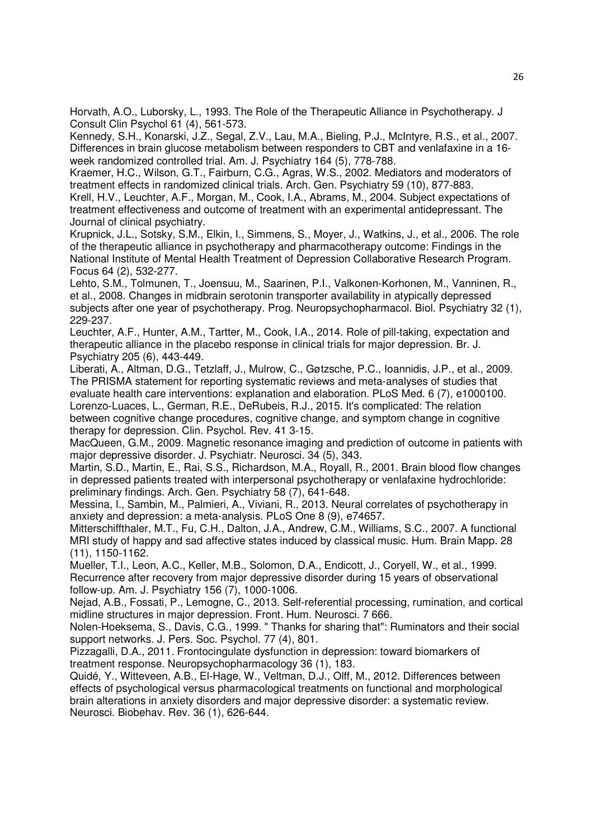Horvath, A.O., Luborsky, L., 1993. The Role of the Therapeutic Alliance in Psychotherapy. J Consult Clin Psychol 61 (4), 561-573.

Kennedy, S.H., Konarski, J.Z., Segal, Z.V., Lau, M.A., Bieling, P.J., McIntyre, R.S., et al., 2007. Differences in brain glucose metabolism between responders to CBT and venlafaxine in a 16 week randomized controlled trial. Am. J. Psychiatry 164 (5), 778-788.

Kraemer, H.C., Wilson, G.T., Fairburn, C.G., Agras, W.S., 2002. Mediators and moderators of treatment effects in randomized clinical trials. Arch. Gen. Psychiatry 59 (10), 877-883.

Krell, H.V., Leuchter, A.F., Morgan, M., Cook, I.A., Abrams, M., 2004. Subject expectations of treatment effectiveness and outcome of treatment with an experimental antidepressant. The Journal of clinical psychiatry.

Krupnick, J.L., Sotsky, S.M., Elkin, I., Simmens, S., Moyer, J., Watkins, J., et al., 2006. The role of the therapeutic alliance in psychotherapy and pharmacotherapy outcome: Findings in the National Institute of Mental Health Treatment of Depression Collaborative Research Program. Focus 64 (2), 532-277.

Lehto, S.M., Tolmunen, T., Joensuu, M., Saarinen, P.I., Valkonen-Korhonen, M., Vanninen, R., et al., 2008. Changes in midbrain serotonin transporter availability in atypically depressed subjects after one year of psychotherapy. Prog. Neuropsychopharmacol. Biol. Psychiatry 32 (1), 229-237.

Leuchter, A.F., Hunter, A.M., Tartter, M., Cook, I.A., 2014. Role of pill-taking, expectation and therapeutic alliance in the placebo response in clinical trials for major depression. Br. J. Psychiatry 205 (6), 443-449.

Liberati, A., Altman, D.G., Tetzlaff, J., Mulrow, C., Gøtzsche, P.C., Ioannidis, J.P., et al., 2009. The PRISMA statement for reporting systematic reviews and meta-analyses of studies that evaluate health care interventions: explanation and elaboration. PLoS Med. 6 (7), e1000100. Lorenzo-Luaces, L., German, R.E., DeRubeis, R.J., 2015. It's complicated: The relation between cognitive change procedures, cognitive change, and symptom change in cognitive therapy for depression. Clin. Psychol. Rev. 41 3-15.

MacQueen, G.M., 2009. Magnetic resonance imaging and prediction of outcome in patients with major depressive disorder. J. Psychiatr. Neurosci. 34 (5), 343.

Martin, S.D., Martin, E., Rai, S.S., Richardson, M.A., Royall, R., 2001. Brain blood flow changes in depressed patients treated with interpersonal psychotherapy or venlafaxine hydrochloride: preliminary findings. Arch. Gen. Psychiatry 58 (7), 641-648.

Messina, I., Sambin, M., Palmieri, A., Viviani, R., 2013. Neural correlates of psychotherapy in anxiety and depression: a meta-analysis. PLoS One 8 (9), e74657.

Mitterschiffthaler, M.T., Fu, C.H., Dalton, J.A., Andrew, C.M., Williams, S.C., 2007. A functional MRI study of happy and sad affective states induced by classical music. Hum. Brain Mapp. 28 (11), 1150-1162.

Mueller, T.I., Leon, A.C., Keller, M.B., Solomon, D.A., Endicott, J., Coryell, W., et al., 1999. Recurrence after recovery from major depressive disorder during 15 years of observational follow-up. Am. J. Psychiatry 156 (7), 1000-1006.

Nejad, A.B., Fossati, P., Lemogne, C., 2013. Self-referential processing, rumination, and cortical midline structures in major depression. Front. Hum. Neurosci. 7 666.

Nolen-Hoeksema, S., Davis, C.G., 1999. " Thanks for sharing that": Ruminators and their social support networks. J. Pers. Soc. Psychol. 77 (4), 801.

Pizzagalli, D.A., 2011. Frontocingulate dysfunction in depression: toward biomarkers of treatment response. Neuropsychopharmacology 36 (1), 183.

Quidé, Y., Witteveen, A.B., El-Hage, W., Veltman, D.J., Olff, M., 2012. Differences between effects of psychological versus pharmacological treatments on functional and morphological brain alterations in anxiety disorders and major depressive disorder: a systematic review. Neurosci. Biobehav. Rev. 36 (1), 626-644.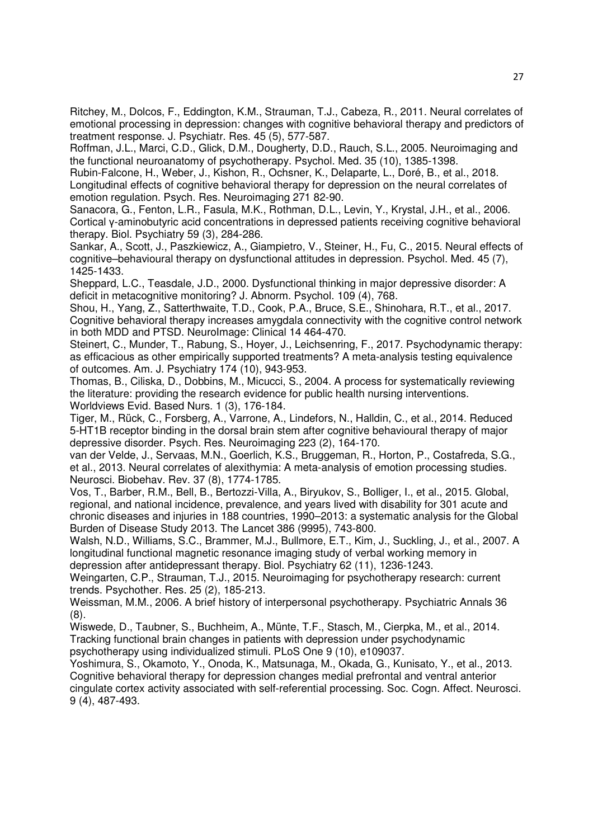Ritchey, M., Dolcos, F., Eddington, K.M., Strauman, T.J., Cabeza, R., 2011. Neural correlates of emotional processing in depression: changes with cognitive behavioral therapy and predictors of treatment response. J. Psychiatr. Res. 45 (5), 577-587.

Roffman, J.L., Marci, C.D., Glick, D.M., Dougherty, D.D., Rauch, S.L., 2005. Neuroimaging and the functional neuroanatomy of psychotherapy. Psychol. Med. 35 (10), 1385-1398.

Rubin-Falcone, H., Weber, J., Kishon, R., Ochsner, K., Delaparte, L., Doré, B., et al., 2018. Longitudinal effects of cognitive behavioral therapy for depression on the neural correlates of emotion regulation. Psych. Res. Neuroimaging 271 82-90.

Sanacora, G., Fenton, L.R., Fasula, M.K., Rothman, D.L., Levin, Y., Krystal, J.H., et al., 2006. Cortical y-aminobutyric acid concentrations in depressed patients receiving cognitive behavioral therapy. Biol. Psychiatry 59 (3), 284-286.

Sankar, A., Scott, J., Paszkiewicz, A., Giampietro, V., Steiner, H., Fu, C., 2015. Neural effects of cognitive–behavioural therapy on dysfunctional attitudes in depression. Psychol. Med. 45 (7), 1425-1433.

Sheppard, L.C., Teasdale, J.D., 2000. Dysfunctional thinking in major depressive disorder: A deficit in metacognitive monitoring? J. Abnorm. Psychol. 109 (4), 768.

Shou, H., Yang, Z., Satterthwaite, T.D., Cook, P.A., Bruce, S.E., Shinohara, R.T., et al., 2017. Cognitive behavioral therapy increases amygdala connectivity with the cognitive control network in both MDD and PTSD. NeuroImage: Clinical 14 464-470.

Steinert, C., Munder, T., Rabung, S., Hoyer, J., Leichsenring, F., 2017. Psychodynamic therapy: as efficacious as other empirically supported treatments? A meta-analysis testing equivalence of outcomes. Am. J. Psychiatry 174 (10), 943-953.

Thomas, B., Ciliska, D., Dobbins, M., Micucci, S., 2004. A process for systematically reviewing the literature: providing the research evidence for public health nursing interventions. Worldviews Evid. Based Nurs. 1 (3), 176-184.

Tiger, M., Rück, C., Forsberg, A., Varrone, A., Lindefors, N., Halldin, C., et al., 2014. Reduced 5-HT1B receptor binding in the dorsal brain stem after cognitive behavioural therapy of major depressive disorder. Psych. Res. Neuroimaging 223 (2), 164-170.

van der Velde, J., Servaas, M.N., Goerlich, K.S., Bruggeman, R., Horton, P., Costafreda, S.G., et al., 2013. Neural correlates of alexithymia: A meta-analysis of emotion processing studies. Neurosci. Biobehav. Rev. 37 (8), 1774-1785.

Vos, T., Barber, R.M., Bell, B., Bertozzi-Villa, A., Biryukov, S., Bolliger, I., et al., 2015. Global, regional, and national incidence, prevalence, and years lived with disability for 301 acute and chronic diseases and injuries in 188 countries, 1990–2013: a systematic analysis for the Global Burden of Disease Study 2013. The Lancet 386 (9995), 743-800.

Walsh, N.D., Williams, S.C., Brammer, M.J., Bullmore, E.T., Kim, J., Suckling, J., et al., 2007. A longitudinal functional magnetic resonance imaging study of verbal working memory in depression after antidepressant therapy. Biol. Psychiatry 62 (11), 1236-1243.

Weingarten, C.P., Strauman, T.J., 2015. Neuroimaging for psychotherapy research: current trends. Psychother. Res. 25 (2), 185-213.

Weissman, M.M., 2006. A brief history of interpersonal psychotherapy. Psychiatric Annals 36 (8).

Wiswede, D., Taubner, S., Buchheim, A., Münte, T.F., Stasch, M., Cierpka, M., et al., 2014. Tracking functional brain changes in patients with depression under psychodynamic psychotherapy using individualized stimuli. PLoS One 9 (10), e109037.

Yoshimura, S., Okamoto, Y., Onoda, K., Matsunaga, M., Okada, G., Kunisato, Y., et al., 2013. Cognitive behavioral therapy for depression changes medial prefrontal and ventral anterior cingulate cortex activity associated with self-referential processing. Soc. Cogn. Affect. Neurosci. 9 (4), 487-493.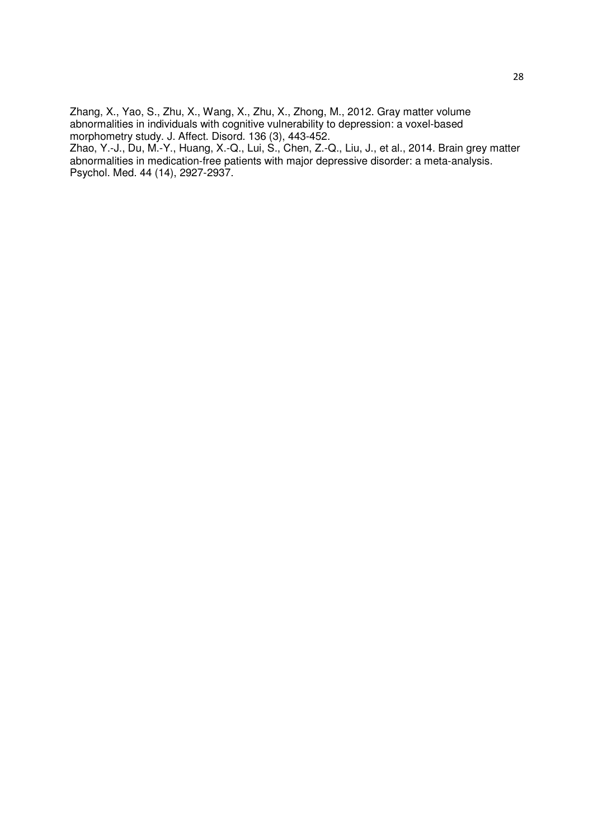Zhang, X., Yao, S., Zhu, X., Wang, X., Zhu, X., Zhong, M., 2012. Gray matter volume abnormalities in individuals with cognitive vulnerability to depression: a voxel-based morphometry study. J. Affect. Disord. 136 (3), 443-452.

Zhao, Y.-J., Du, M.-Y., Huang, X.-Q., Lui, S., Chen, Z.-Q., Liu, J., et al., 2014. Brain grey matter abnormalities in medication-free patients with major depressive disorder: a meta-analysis. Psychol. Med. 44 (14), 2927-2937.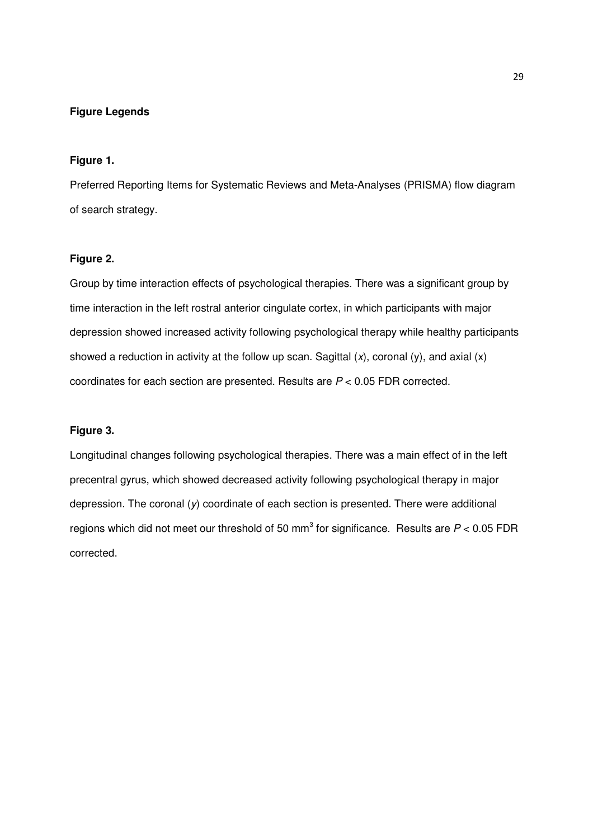# **Figure Legends**

# **Figure 1.**

Preferred Reporting Items for Systematic Reviews and Meta-Analyses (PRISMA) flow diagram of search strategy.

# **Figure 2.**

Group by time interaction effects of psychological therapies. There was a significant group by time interaction in the left rostral anterior cingulate cortex, in which participants with major depression showed increased activity following psychological therapy while healthy participants showed a reduction in activity at the follow up scan. Sagittal  $(x)$ , coronal  $(y)$ , and axial  $(x)$ coordinates for each section are presented. Results are P < 0.05 FDR corrected.

# **Figure 3.**

Longitudinal changes following psychological therapies. There was a main effect of in the left precentral gyrus, which showed decreased activity following psychological therapy in major depression. The coronal (y) coordinate of each section is presented. There were additional regions which did not meet our threshold of 50 mm<sup>3</sup> for significance. Results are  $P < 0.05$  FDR corrected.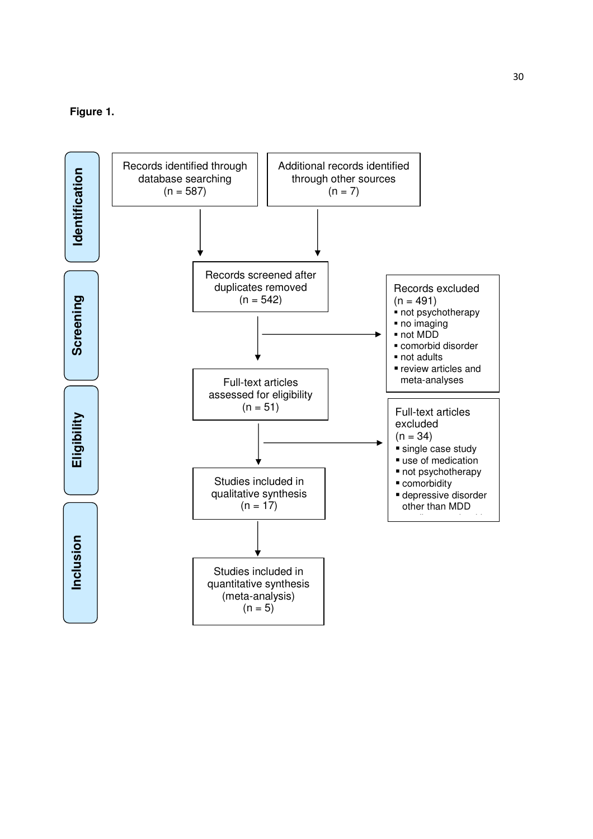# **Figure 1.**

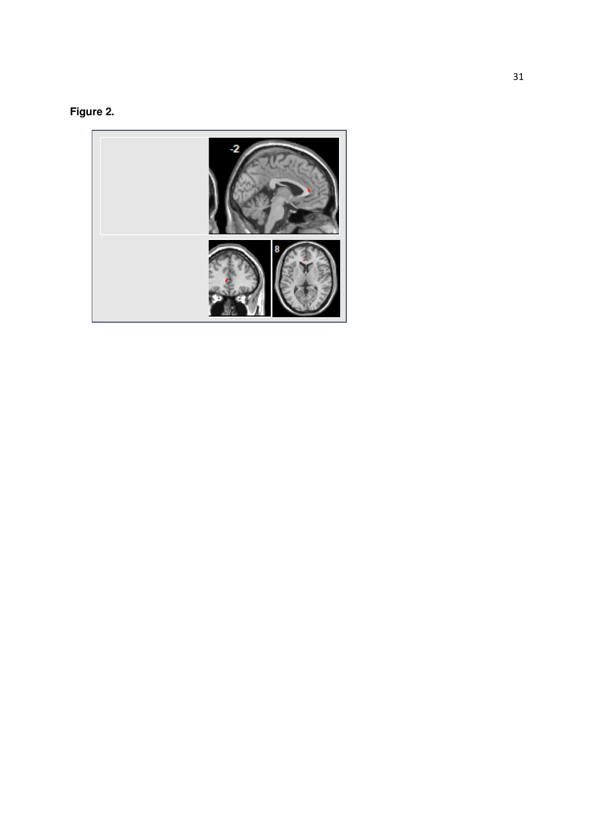

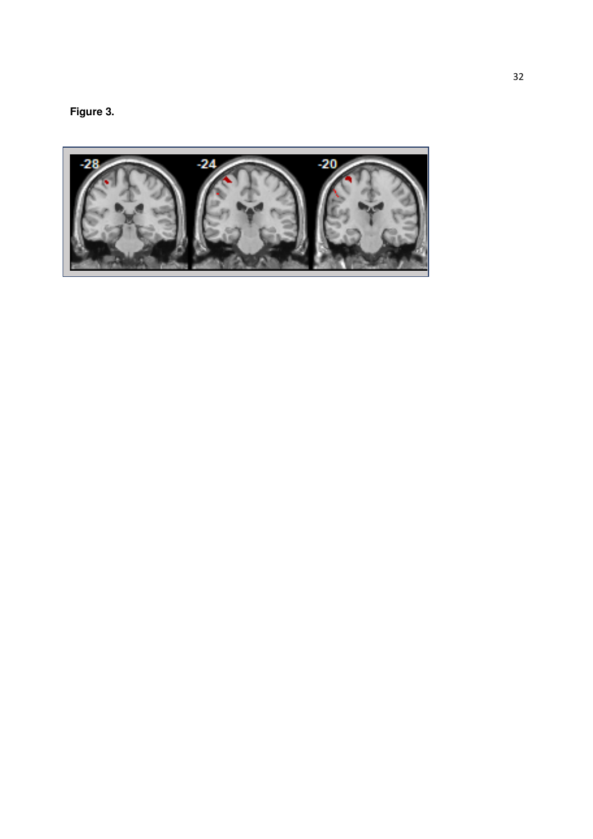**Figure 3.** 

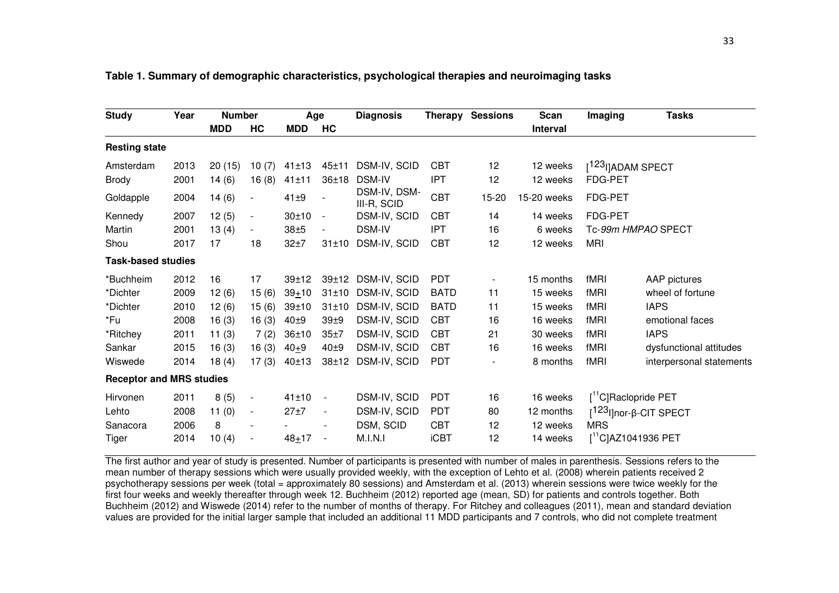| <b>Study</b>                    | Year | <b>Number</b> |                          | Age        |                          | <b>Diagnosis</b>            |             | Therapy Sessions | Scan            | Imaging                            | <b>Tasks</b>             |
|---------------------------------|------|---------------|--------------------------|------------|--------------------------|-----------------------------|-------------|------------------|-----------------|------------------------------------|--------------------------|
|                                 |      | <b>MDD</b>    | HC                       | <b>MDD</b> | HC                       |                             |             |                  | <b>Interval</b> |                                    |                          |
| <b>Resting state</b>            |      |               |                          |            |                          |                             |             |                  |                 |                                    |                          |
| Amsterdam                       | 2013 | 20(15)        | 10(7)                    | 41±13      | 45±11                    | DSM-IV, SCID                | <b>CBT</b>  | 12               | 12 weeks        | [ <sup>123</sup> I]ADAM SPECT      |                          |
| <b>Brody</b>                    | 2001 | 14(6)         | 16(8)                    | $41 + 11$  | 36±18                    | <b>DSM-IV</b>               | IPT         | 12               | 12 weeks        | <b>FDG-PET</b>                     |                          |
| Goldapple                       | 2004 | 14(6)         | $\blacksquare$           | $41\pm9$   | $\blacksquare$           | DSM-IV, DSM-<br>III-R, SCID | <b>CBT</b>  | 15-20            | 15-20 weeks     | FDG-PET                            |                          |
| Kennedy                         | 2007 | 12(5)         | $\blacksquare$           | 30±10      | $\blacksquare$           | DSM-IV, SCID                | <b>CBT</b>  | 14               | 14 weeks        | <b>FDG-PET</b>                     |                          |
| Martin                          | 2001 | 13(4)         | $\blacksquare$           | $38\pm 5$  | $\blacksquare$           | <b>DSM-IV</b>               | IPT         | 16               | 6 weeks         | Tc-99m HMPAO SPECT                 |                          |
| Shou                            | 2017 | 17            | 18                       | $32+7$     | 31±10                    | DSM-IV, SCID                | <b>CBT</b>  | 12               | 12 weeks        | <b>MRI</b>                         |                          |
| <b>Task-based studies</b>       |      |               |                          |            |                          |                             |             |                  |                 |                                    |                          |
| *Buchheim                       | 2012 | 16            | 17                       | $39 + 12$  | 39±12                    | DSM-IV, SCID                | <b>PDT</b>  |                  | 15 months       | fMRI                               | AAP pictures             |
| *Dichter                        | 2009 | 12(6)         | 15(6)                    | $39+10$    | 31±10                    | DSM-IV, SCID                | <b>BATD</b> | 11               | 15 weeks        | fMRI                               | wheel of fortune         |
| *Dichter                        | 2010 | 12(6)         | 15(6)                    | $39 + 10$  | 31±10                    | DSM-IV, SCID                | <b>BATD</b> | 11               | 15 weeks        | fMRI                               | <b>IAPS</b>              |
| *Fu                             | 2008 | 16(3)         | 16(3)                    | 40±9       | 39 <sub>±9</sub>         | DSM-IV, SCID                | <b>CBT</b>  | 16               | 16 weeks        | fMRI                               | emotional faces          |
| *Ritchey                        | 2011 | 11(3)         | 7(2)                     | 36±10      | 35±7                     | DSM-IV, SCID                | <b>CBT</b>  | 21               | 30 weeks        | fMRI                               | <b>IAPS</b>              |
| Sankar                          | 2015 | 16(3)         | 16(3)                    | $40+9$     | 40±9                     | DSM-IV, SCID                | <b>CBT</b>  | 16               | 16 weeks        | fMRI                               | dysfunctional attitudes  |
| Wiswede                         | 2014 | 18(4)         | 17(3)                    | 40±13      | 38±12                    | DSM-IV, SCID                | <b>PDT</b>  |                  | 8 months        | fMRI                               | interpersonal statements |
| <b>Receptor and MRS studies</b> |      |               |                          |            |                          |                             |             |                  |                 |                                    |                          |
| Hirvonen                        | 2011 | 8(5)          | $\blacksquare$           | 41±10      | $\blacksquare$           | DSM-IV, SCID                | <b>PDT</b>  | 16               | 16 weeks        | [ <sup>11</sup> C]Raclopride PET   |                          |
| Lehto                           | 2008 | 11(0)         | $\blacksquare$           | $27 + 7$   | $\overline{\phantom{a}}$ | DSM-IV, SCID                | <b>PDT</b>  | 80               | 12 months       | [ <sup>123</sup> l]nor-β-CIT SPECT |                          |
| Sanacora                        | 2006 | 8             |                          |            |                          | DSM, SCID                   | <b>CBT</b>  | 12               | 12 weeks        | <b>MRS</b>                         |                          |
| Tiger                           | 2014 | 10(4)         | $\overline{\phantom{a}}$ | $48 + 17$  | $\blacksquare$           | M.I.N.I                     | <b>iCBT</b> | 12               | 14 weeks        | $[^{11}C]$ AZ1041936 PET           |                          |

#### **Table 1. Summary of demographic characteristics, psychological therapies and neuroimaging tasks**

The first author and year of study is presented. Number of participants is presented with number of males in parenthesis. Sessions refers to the mean number of therapy sessions which were usually provided weekly, with the exception of Lehto et al. (2008) wherein patients received 2 psychotherapy sessions per week (total = approximately 80 sessions) and Amsterdam et al. (2013) wherein sessions were twice weekly for the first four weeks and weekly thereafter through week 12. Buchheim (2012) reported age (mean, SD) for patients and controls together. Both Buchheim (2012) and Wiswede (2014) refer to the number of months of therapy. For Ritchey and colleagues (2011), mean and standard deviation values are provided for the initial larger sample that included an additional 11 MDD participants and 7 controls, who did not complete treatment